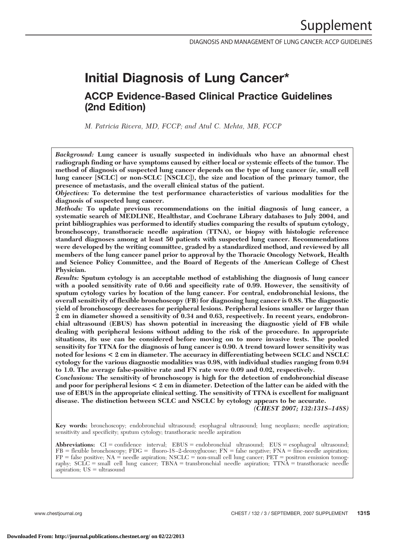# **Initial Diagnosis of Lung Cancer\* ACCP Evidence-Based Clinical Practice Guidelines (2nd Edition)**

*M. Patricia Rivera, MD, FCCP; and Atul C. Mehta, MB, FCCP*

*Background:* **Lung cancer is usually suspected in individuals who have an abnormal chest radiograph finding or have symptoms caused by either local or systemic effects of the tumor. The method of diagnosis of suspected lung cancer depends on the type of lung cancer (***ie***, small cell lung cancer [SCLC] or non-SCLC [NSCLC]), the size and location of the primary tumor, the presence of metastasis, and the overall clinical status of the patient.**

*Objectives:* **To determine the test performance characteristics of various modalities for the diagnosis of suspected lung cancer.**

*Methods:* **To update previous recommendations on the initial diagnosis of lung cancer, a systematic search of MEDLINE, Healthstar, and Cochrane Library databases to July 2004, and print bibliographies was performed to identify studies comparing the results of sputum cytology, bronchoscopy, transthoracic needle aspiration (TTNA), or biopsy with histologic reference standard diagnoses among at least 50 patients with suspected lung cancer. Recommendations were developed by the writing committee, graded by a standardized method, and reviewed by all members of the lung cancer panel prior to approval by the Thoracic Oncology Network, Health and Science Policy Committee, and the Board of Regents of the American College of Chest Physician.**

*Results:* **Sputum cytology is an acceptable method of establishing the diagnosis of lung cancer with a pooled sensitivity rate of 0.66 and specificity rate of 0.99. However, the sensitivity of sputum cytology varies by location of the lung cancer. For central, endobronchial lesions, the overall sensitivity of flexible bronchoscopy (FB) for diagnosing lung cancer is 0.88. The diagnostic yield of bronchoscopy decreases for peripheral lesions. Peripheral lesions smaller or larger than 2 cm in diameter showed a sensitivity of 0.34 and 0.63, respectively. In recent years, endobronchial ultrasound (EBUS) has shown potential in increasing the diagnostic yield of FB while dealing with peripheral lesions without adding to the risk of the procedure. In appropriate situations, its use can be considered before moving on to more invasive tests. The pooled sensitivity for TTNA for the diagnosis of lung cancer is 0.90. A trend toward lower sensitivity was noted for lesions < 2 cm in diameter. The accuracy in differentiating between SCLC and NSCLC cytology for the various diagnostic modalities was 0.98, with individual studies ranging from 0.94 to 1.0. The average false-positive rate and FN rate were 0.09 and 0.02, respectively.**

*Conclusions:* **The sensitivity of bronchoscopy is high for the detection of endobronchial disease and poor for peripheral lesions < 2 cm in diameter. Detection of the latter can be aided with the use of EBUS in the appropriate clinical setting. The sensitivity of TTNA is excellent for malignant disease. The distinction between SCLC and NSCLC by cytology appears to be accurate.**

*(CHEST 2007; 132:131S–148S)*

**Key words:** bronchoscopy; endobronchial ultrasound; esophageal ultrasound; lung neoplasm; needle aspiration; sensitivity and specificity; sputum cytology; transthoracic needle aspiration

Abbreviations: CI = confidence interval; EBUS = endobronchial ultrasound; EUS = esophageal ultrasound;  $FB =$  flexible bronchoscopy;  $FDG =$  fluoro-18-2-deoxyglucose;  $FN =$  false negative;  $FNA =$  fine-needle aspiration;  $FP = false$  positive;  $NA =$  needle aspiration; NSCLC = non-small cell lung cancer; PET = positron emission tomography;  $SCLC = small$  cell lung cancer; TBNA = transbronchial needle aspiration; TTNA = transthoracic needle aspiration;  $US =$  ultrasound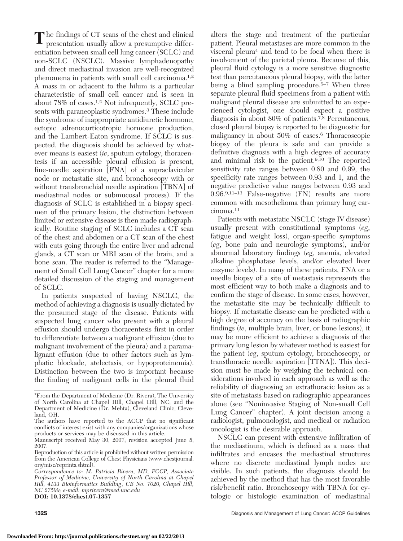**T** he findings of CT scans of the chest and clinical presentation usually allow a presumptive differentiation between small cell lung cancer (SCLC) and non-SCLC (NSCLC). Massive lymphadenopathy and direct mediastinal invasion are well-recognized phenomena in patients with small cell carcinoma.1,2 A mass in or adjacent to the hilum is a particular characteristic of small cell cancer and is seen in about 78% of cases.1,2 Not infrequently, SCLC presents with paraneoplastic syndromes.3 These include the syndrome of inappropriate antidiuretic hormone, ectopic adrenocorticotropic hormone production, and the Lambert-Eaton syndrome. If SCLC is suspected, the diagnosis should be achieved by whatever means is easiest (*ie*, sputum cytology, thoracentesis if an accessible pleural effusion is present, fine-needle aspiration [FNA] of a supraclavicular node or metastatic site, and bronchoscopy with or without transbronchial needle aspiration [TBNA] of mediastinal nodes or submucosal process). If the diagnosis of SCLC is established in a biopsy specimen of the primary lesion, the distinction between limited or extensive disease is then made radiographically. Routine staging of SCLC includes a CT scan of the chest and abdomen or a CT scan of the chest with cuts going through the entire liver and adrenal glands, a CT scan or MRI scan of the brain, and a bone scan. The reader is referred to the "Management of Small Cell Lung Cancer" chapter for a more detailed discussion of the staging and management of SCLC.

In patients suspected of having NSCLC, the method of achieving a diagnosis is usually dictated by the presumed stage of the disease. Patients with suspected lung cancer who present with a pleural effusion should undergo thoracentesis first in order to differentiate between a malignant effusion (due to malignant involvement of the pleura) and a paramalignant effusion (due to other factors such as lymphatic blockade, atelectasis, or hypoproteinemia). Distinction between the two is important because the finding of malignant cells in the pleural fluid alters the stage and treatment of the particular patient. Pleural metastases are more common in the visceral pleura4 and tend to be focal when there is involvement of the parietal pleura. Because of this, pleural fluid cytology is a more sensitive diagnostic test than percutaneous pleural biopsy, with the latter being a blind sampling procedure.<sup>5–7</sup> When three separate pleural fluid specimens from a patient with malignant pleural disease are submitted to an experienced cytologist, one should expect a positive diagnosis in about 80% of patients.7,8 Percutaneous, closed pleural biopsy is reported to be diagnostic for malignancy in about 50% of cases.6 Thoracoscopic biopsy of the pleura is safe and can provide a definitive diagnosis with a high degree of accuracy and minimal risk to the patient.9,10 The reported sensitivity rate ranges between 0.80 and 0.99, the specificity rate ranges between 0.93 and 1, and the negative predictive value ranges between 0.93 and 0.96.9,11–13 False-negative (FN) results are more common with mesothelioma than primary lung carcinoma.11

Patients with metastatic NSCLC (stage IV disease) usually present with constitutional symptoms (*eg*, fatigue and weight loss), organ-specific symptoms (*eg*, bone pain and neurologic symptoms), and/or abnormal laboratory findings (*eg*, anemia, elevated alkaline phosphatase levels, and/or elevated liver enzyme levels). In many of these patients, FNA or a needle biopsy of a site of metastasis represents the most efficient way to both make a diagnosis and to confirm the stage of disease. In some cases, however, the metastatic site may be technically difficult to biopsy. If metastatic disease can be predicted with a high degree of accuracy on the basis of radiographic findings (*ie*, multiple brain, liver, or bone lesions), it may be more efficient to achieve a diagnosis of the primary lung lesion by whatever method is easiest for the patient (*eg*, sputum cytology, bronchoscopy, or transthoracic needle aspiration [TTNA]). This decision must be made by weighing the technical considerations involved in each approach as well as the reliability of diagnosing an extrathoracic lesion as a site of metastasis based on radiographic appearances alone (see "Noninvasive Staging of Non-small Cell Lung Cancer" chapter). A joint decision among a radiologist, pulmonologist, and medical or radiation oncologist is the desirable approach.

NSCLC can present with extensive infiltration of the mediastinum, which is defined as a mass that infiltrates and encases the mediastinal structures where no discrete mediastinal lymph nodes are visible. In such patients, the diagnosis should be achieved by the method that has the most favorable risk/benefit ratio. Bronchoscopy with TBNA for cytologic or histologic examination of mediastinal

<sup>\*</sup>From the Department of Medicine (Dr. Rivera), The University of North Carolina at Chapel Hill, Chapel Hill, NC; and the Department of Medicine (Dr. Mehta), Cleveland Clinic, Cleveland, OH.

The authors have reported to the ACCP that no significant conflicts of interest exist with any companies/organizations whose products or services may be discussed in this article.

Manuscript received May 30, 2007; revision accepted June 5, 2007.

Reproduction of this article is prohibited without written permission from the American College of Chest Physicians (www.chestjournal. org/misc/reprints.shtml).

*Correspondence to: M. Patricia Rivera, MD, FCCP, Associate Professor of Medicine, University of North Carolina at Chapel Hill, 4133 Bioinformatics Building, CB No. 7020, Chapel Hill, NC 27599; e-mail: mprivera@med.unc.edu* **DOI: 10.1378/chest.07-1357**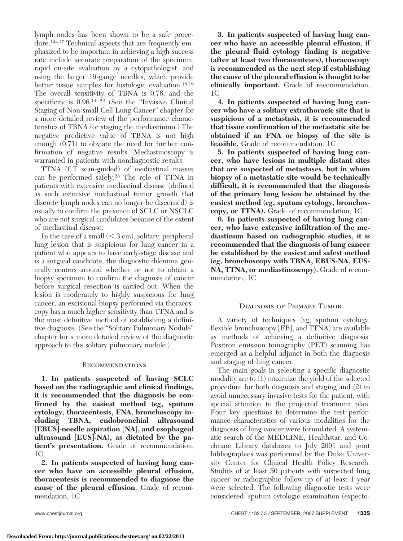lymph nodes has been shown to be a safe procedure.<sup>14-17</sup> Technical aspects that are frequently emphasized to be important in achieving a high success rate include accurate preparation of the specimen, rapid on-site evaluation by a cytopathologist, and using the larger 19-gauge needles, which provide better tissue samples for histologic evaluation.18,19 The overall sensitivity of TBNA is 0.76, and the specificity is  $0.96^{14-22}$  (See the "Invasive Clinical Staging of Non-small Cell Lung Cancer" chapter for a more detailed review of the performance characteristics of TBNA for staging the mediastinum.) The negative predictive value of TBNA is not high enough (0.71) to obviate the need for further confirmation of negative results. Mediastinoscopy is warranted in patients with nondiagnostic results.

TTNA (CT scan-guided) of mediastinal masses can be performed safely.23 The role of TTNA in patients with extensive mediastinal disease (defined as such extensive mediastinal tumor growth that discrete lymph nodes can no longer be discerned) is usually to confirm the presence of SCLC or NSCLC who are not surgical candidates because of the extent of mediastinal disease.

In the case of a small  $(< 3 \text{ cm})$ , solitary, peripheral lung lesion that is suspicious for lung cancer in a patient who appears to have early-stage disease and is a surgical candidate, the diagnostic dilemma generally centers around whether or not to obtain a biopsy specimen to confirm the diagnosis of cancer before surgical resection is carried out. When the lesion is moderately to highly suspicious for lung cancer, an excisional biopsy performed via thoracoscopy has a much higher sensitivity than TTNA and is the most definitive method of establishing a definitive diagnosis. (See the "Solitary Pulmonary Nodule" chapter for a more detailed review of the diagnostic approach to the solitary pulmonary nodule.)

#### Recommendations

**1. In patients suspected of having SCLC based on the radiographic and clinical findings, it is recommended that the diagnosis be confirmed by the easiest method (***eg***, sputum cytology, thoracentesis, FNA, bronchoscopy including TBNA, endobronchial ultrasound [EBUS]-needle aspiration [NA], and esophageal ultrasound [EUS]-NA), as dictated by the patient's presentation.** Grade of recommendation, 1C

**2. In patients suspected of having lung cancer who have an accessible pleural effusion, thoracentesis is recommended to diagnose the cause of the pleural effusion.** Grade of recommendation, 1C

**3. In patients suspected of having lung cancer who have an accessible pleural effusion, if the pleural fluid cytology finding is negative (after at least two thoracenteses), thoracoscopy is recommended as the next step if establishing the cause of the pleural effusion is thought to be clinically important.** Grade of recommendation, 1C

**4. In patients suspected of having lung cancer who have a solitary extrathoracic site that is suspicious of a metastasis, it is recommended that tissue confirmation of the metastatic site be obtained if an FNA or biopsy of the site is feasible.** Grade of recommendation, 1C

**5. In patients suspected of having lung cancer, who have lesions in multiple distant sites that are suspected of metastases, but in whom biopsy of a metastatic site would be technically difficult, it is recommended that the diagnosis of the primary lung lesion be obtained by the easiest method (***eg***, sputum cytology, bronchoscopy, or TTNA).** Grade of recommendation, 1C

**6. In patients suspected of having lung cancer, who have extensive infiltration of the mediastinum based on radiographic studies, it is recommended that the diagnosis of lung cancer be established by the easiest and safest method (***eg***, bronchoscopy with TBNA, EBUS-NA, EUS-NA, TTNA, or mediastinoscopy).** Grade of recommendation, 1C

## Diagnosis of Primary Tumor

A variety of techniques (*eg*, sputum cytology, flexible bronchoscopy [FB], and TTNA) are available as methods of achieving a definitive diagnosis. Positron emission tomography (PET) scanning has emerged as a helpful adjunct in both the diagnosis and staging of lung cancer.

The main goals in selecting a specific diagnostic modality are to (1) maximize the yield of the selected procedure for both diagnosis and staging and (2) to avoid unnecessary invasive tests for the patient, with special attention to the projected treatment plan. Four key questions to determine the test performance characteristics of various modalities for the diagnosis of lung cancer were formulated. A systematic search of the MEDLINE, Healthstar, and Cochrane Library databases to July 2001 and print bibliographies was performed by the Duke University Center for Clinical Health Policy Research. Studies of at least 50 patients with suspected lung cancer or radiographic follow-up of at least 1 year were selected. The following diagnostic tests were considered: sputum cytologic examination (expecto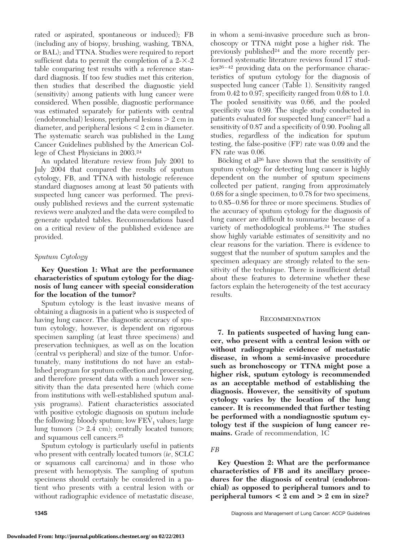rated or aspirated, spontaneous or induced); FB (including any of biopsy, brushing, washing, TBNA, or BAL); and TTNA. Studies were required to report sufficient data to permit the completion of a  $2 - \times -2$ table comparing test results with a reference standard diagnosis. If too few studies met this criterion, then studies that described the diagnostic yield (sensitivity) among patients with lung cancer were considered. When possible, diagnostic performance was estimated separately for patients with central  $(endobronchial)$  lesions, peripheral lesions  $> 2$  cm in  $diameter$ , and peripheral lesions  $\leq 2$  cm in diameter. The systematic search was published in the Lung Cancer Guidelines published by the American College of Chest Physicians in 2003.24

An updated literature review from July 2001 to July 2004 that compared the results of sputum cytology, FB, and TTNA with histologic reference standard diagnoses among at least 50 patients with suspected lung cancer was performed. The previously published reviews and the current systematic reviews were analyzed and the data were compiled to generate updated tables. Recommendations based on a critical review of the published evidence are provided.

# *Sputum Cytology*

# **Key Question 1: What are the performance characteristics of sputum cytology for the diagnosis of lung cancer with special consideration for the location of the tumor?**

Sputum cytology is the least invasive means of obtaining a diagnosis in a patient who is suspected of having lung cancer. The diagnostic accuracy of sputum cytology, however, is dependent on rigorous specimen sampling (at least three specimens) and preservation techniques, as well as on the location (central vs peripheral) and size of the tumor. Unfortunately, many institutions do not have an established program for sputum collection and processing, and therefore present data with a much lower sensitivity than the data presented here (which come from institutions with well-established sputum analysis programs). Patient characteristics associated with positive cytologic diagnosis on sputum include the following: bloody sputum; low  $FEV<sub>1</sub>$  values; large lung tumors  $(> 2.4 \text{ cm})$ ; centrally located tumors; and squamous cell cancers.25

Sputum cytology is particularly useful in patients who present with centrally located tumors (*ie*, SCLC or squamous call carcinoma) and in those who present with hemoptysis. The sampling of sputum specimens should certainly be considered in a patient who presents with a central lesion with or without radiographic evidence of metastatic disease,

in whom a semi-invasive procedure such as bronchoscopy or TTNA might pose a higher risk. The previously published<sup>24</sup> and the more recently performed systematic literature reviews found 17 stud $ies^{26-42}$  providing data on the performance characteristics of sputum cytology for the diagnosis of suspected lung cancer (Table 1). Sensitivity ranged from 0.42 to 0.97; specificity ranged from 0.68 to 1.0. The pooled sensitivity was 0.66, and the pooled specificity was 0.99. The single study conducted in patients evaluated for suspected lung cancer<sup>27</sup> had a sensitivity of 0.87 and a specificity of 0.90. Pooling all studies, regardless of the indication for sputum testing, the false-positive (FP) rate was 0.09 and the FN rate was 0.06.

Böcking et al<sup>26</sup> have shown that the sensitivity of sputum cytology for detecting lung cancer is highly dependent on the number of sputum specimens collected per patient, ranging from approximately 0.68 for a single specimen, to 0.78 for two specimens, to 0.85– 0.86 for three or more specimens. Studies of the accuracy of sputum cytology for the diagnosis of lung cancer are difficult to summarize because of a variety of methodological problems.<sup>24</sup> The studies show highly variable estimates of sensitivity and no clear reasons for the variation. There is evidence to suggest that the number of sputum samples and the specimen adequacy are strongly related to the sensitivity of the technique. There is insufficient detail about these features to determine whether these factors explain the heterogeneity of the test accuracy results.

# **RECOMMENDATION**

**7. In patients suspected of having lung cancer, who present with a central lesion with or without radiographic evidence of metastatic disease, in whom a semi-invasive procedure such as bronchoscopy or TTNA might pose a higher risk, sputum cytology is recommended as an acceptable method of establishing the diagnosis. However, the sensitivity of sputum cytology varies by the location of the lung cancer. It is recommended that further testing be performed with a nondiagnostic sputum cytology test if the suspicion of lung cancer remains.** Grade of recommendation, 1C

# *FB*

**Key Question 2: What are the performance characteristics of FB and its ancillary procedures for the diagnosis of central (endobronchial) as opposed to peripheral tumors and to peripheral tumors < 2 cm and > 2 cm in size?**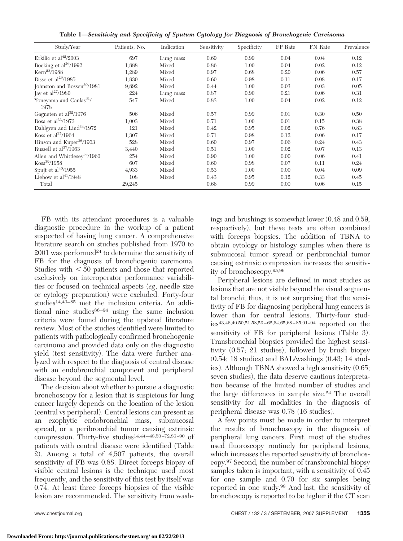**Table 1—***Sensitivity and Specificity of Sputum Cytology for Diagnosis of Bronchogenic Carcinoma*

| Study/Year                                  | Patients, No. | Indication | Sensitivity | Specificity | FP Rate | FN Rate | Prevalence |
|---------------------------------------------|---------------|------------|-------------|-------------|---------|---------|------------|
| Erkilic et al <sup>42</sup> /2003           | 697           | Lung mass  | 0.69        | 0.99        | 0.04    | 0.04    | 0.12       |
| Böcking et al <sup>26</sup> /1992           | 1,888         | Mixed      | 0.86        | 1.00        | 0.04    | 0.02    | 0.12       |
| $Kerm^{28}/1988$                            | 1.289         | Mixed      | 0.97        | 0.68        | 0.20    | 0.06    | 0.57       |
| Risse et $al^{29}/1985$                     | 1,830         | Mixed      | 0.60        | 0.98        | 0.11    | 0.08    | 0.17       |
| Johnston and Bossen <sup>30</sup> /1981     | 9,892         | Mixed      | 0.44        | 1.00        | 0.03    | 0.03    | 0.05       |
| Jay et $al^{27}/1980$                       | 224           | Lung mass  | 0.87        | 0.90        | 0.21    | 0.06    | 0.31       |
| Yoneyama and Canlas <sup>31</sup> /<br>1978 | 547           | Mixed      | 0.83        | 1.00        | 0.04    | 0.02    | 0.12       |
| Gagneten et al $32/1976$                    | 506           | Mixed      | 0.57        | 0.99        | 0.01    | 0.30    | 0.50       |
| Rosa et al <sup>33</sup> /1973              | 1,003         | Mixed      | 0.71        | 1.00        | 0.01    | 0.15    | 0.38       |
| Dahlgren and Lind <sup>34</sup> /1972       | 121           | Mixed      | 0.42        | 0.95        | 0.02    | 0.76    | 0.83       |
| Koss et al $35/1964$                        | 1,307         | Mixed      | 0.71        | 0.98        | 0.12    | 0.06    | 0.17       |
| Hinson and Kuper $^{36}\!/1963$             | 528           | Mixed      | 0.60        | 0.97        | 0.06    | 0.24    | 0.43       |
| Russell et al <sup>37</sup> /1963           | 3,440         | Mixed      | 0.51        | 1.00        | 0.02    | 0.07    | 0.13       |
| Allen and Whittlesey <sup>38</sup> /1960    | 254           | Mixed      | 0.90        | 1.00        | 0.00    | 0.06    | 0.41       |
| $K$ oss <sup>39</sup> /1958                 | 607           | Mixed      | 0.60        | 0.98        | 0.07    | 0.11    | 0.24       |
| Spujt et al <sup>40</sup> /1955             | 4.933         | Mixed      | 0.53        | 1.00        | 0.00    | 0.04    | 0.09       |
| Liebow et $al41/1948$                       | 108           | Mixed      | 0.43        | 0.95        | 0.12    | 0.33    | 0.45       |
| Total                                       | 29,245        |            | 0.66        | 0.99        | 0.09    | 0.06    | 0.15       |

FB with its attendant procedures is a valuable diagnostic procedure in the workup of a patient suspected of having lung cancer. A comprehensive literature search on studies published from 1970 to  $2001$  was performed<sup>24</sup> to determine the sensitivity of FB for the diagnosis of bronchogenic carcinoma. Studies with  $<$  50 patients and those that reported exclusively on interoperator performance variabilities or focused on technical aspects (*eg*, needle size or cytology preparation) were excluded. Forty-four studies14,43– 85 met the inclusion criteria. An additional nine studies $86 - 94$  using the same inclusion criteria were found during the updated literature review. Most of the studies identified were limited to patients with pathologically confirmed bronchogenic carcinoma and provided data only on the diagnostic yield (test sensitivity). The data were further analyzed with respect to the diagnosis of central disease with an endobronchial component and peripheral disease beyond the segmental level.

The decision about whether to pursue a diagnostic bronchoscopy for a lesion that is suspicious for lung cancer largely depends on the location of the lesion (central vs peripheral). Central lesions can present as an exophytic endobronchial mass, submucosal spread, or a peribronchial tumor causing extrinsic compression. Thirty-five studies<sup>14,44-48,50-72,86-90</sup> of patients with central disease were identified (Table 2). Among a total of 4,507 patients, the overall sensitivity of FB was 0.88. Direct forceps biopsy of visible central lesions is the technique used most frequently, and the sensitivity of this test by itself was 0.74. At least three forceps biopsies of the visible lesion are recommended. The sensitivity from washings and brushings is somewhat lower (0.48 and 0.59, respectively), but these tests are often combined with forceps biopsies. The addition of TBNA to obtain cytology or histology samples when there is submucosal tumor spread or peribronchial tumor causing extrinsic compression increases the sensitivity of bronchoscopy.95,96

Peripheral lesions are defined in most studies as lesions that are not visible beyond the visual segmental bronchi; thus, it is not surprising that the sensitivity of FB for diagnosing peripheral lung cancers is lower than for central lesions. Thirty-four studies43,46,49,50,51,58,59 – 62,64,65,68 – 85,91–94 reported on the sensitivity of FB for peripheral lesions (Table 3). Transbronchial biopsies provided the highest sensitivity (0.57; 21 studies), followed by brush biopsy (0.54; 18 studies) and BAL/washings (0.43; 14 studies). Although TBNA showed a high sensitivity (0.65; seven studies), the data deserve cautious interpretation because of the limited number of studies and the large differences in sample size.<sup>24</sup> The overall sensitivity for all modalities in the diagnosis of peripheral disease was 0.78 (16 studies).

A few points must be made in order to interpret the results of bronchoscopy in the diagnosis of peripheral lung cancers. First, most of the studies used fluoroscopy routinely for peripheral lesions, which increases the reported sensitivity of bronchoscopy.97 Second, the number of transbronchial biopsy samples taken is important, with a sensitivity of 0.45 for one sample and 0.70 for six samples being reported in one study.98 And last, the sensitivity of bronchoscopy is reported to be higher if the CT scan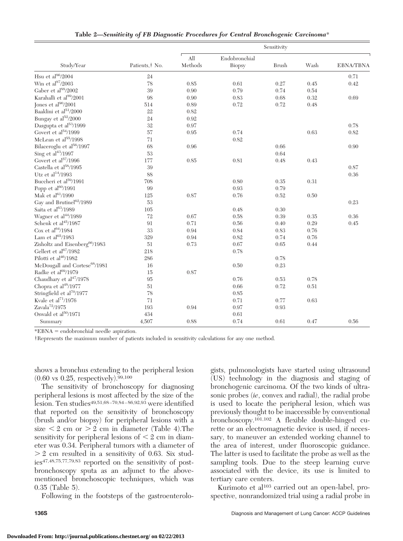**Table 2—***Sensitivity of FB Diagnostic Procedures for Central Bronchogenic Carcinoma*\*

|                                            |                            |         |               | Sensitivity  |      |           |
|--------------------------------------------|----------------------------|---------|---------------|--------------|------|-----------|
|                                            |                            | All     | Endobronchial |              |      |           |
| Study/Year                                 | Patients, <sup>†</sup> No. | Methods | <b>Biopsy</b> | <b>Brush</b> | Wash | EBNA/TBNA |
| Hsu et $al^{86}/2004$                      | 24                         |         |               |              |      | 0.71      |
| Win et $al^{87}/2003$                      | 78                         | 0.85    | 0.61          | 0.27         | 0.45 | 0.42      |
| Gaber et al <sup>88</sup> /2002            | 39                         | 0.90    | 0.79          | 0.74         | 0.54 |           |
| Karahalli et al <sup>89</sup> /2001        | 98                         | 0.90    | 0.83          | 0.68         | 0.32 | 0.69      |
| Jones et al <sup>90</sup> /2001            | 514                        | 0.89    | 0.72          | 0.72         | 0.48 |           |
| Baaklini et $al^{51}/2000$                 | 22                         | 0.82    |               |              |      |           |
| Bungay et al <sup>52</sup> /2000           | 24                         | 0.92    |               |              |      |           |
| Dasgupta et al <sup>53</sup> /1999         | 32                         | 0.97    |               |              |      | 0.78      |
| Govert et al <sup>54</sup> /1999           | 57                         | 0.95    | 0.74          |              | 0.63 | 0.82      |
| McLean et al <sup>55</sup> /1998           | 71                         |         | 0.82          |              |      |           |
| Bilaceroglu et al <sup>56</sup> /1997      | 68                         | 0.96    |               | 0.66         |      | 0.90      |
| Sing et $al43/1997$                        | 53                         |         |               | 0.64         |      |           |
| Govert et al <sup>57</sup> /1996           | 177                        | 0.85    | 0.81          | 0.48         | 0.43 |           |
| Castella et $al^{58}/1995$                 | 39                         |         |               |              |      | 0.87      |
| Utz et al $14/1993$                        | 88                         |         |               |              |      | 0.36      |
| Buccheri et al <sup>59</sup> /1991         | 708                        |         | 0.80          | 0.35         | 0.31 |           |
| Popp et al <sup>60</sup> /1991             | 99                         |         | 0.93          | 0.79         |      |           |
| Mak et al $61/1990$                        | 125                        | 0.87    | 0.76          | 0.52         | 0.50 |           |
| Gay and Brutinel <sup>62</sup> /1989       | 53                         |         |               |              |      | 0.23      |
| Saita et al <sup>63</sup> /1989            | 105                        |         | 0.48          | 0.30         |      |           |
| Wagner et al <sup>44</sup> /1989           | 72                         | 0.67    | 0.58          | 0.39         | 0.35 | 0.36      |
| Schenk et al $45/1987$                     | 91                         | 0.71    | 0.56          | 0.40         | 0.29 | 0.45      |
| Cox et $al^{64}/1984$                      | 33                         | 0.94    | 0.84          | 0.83         | 0.76 |           |
| Lam et $al^{65}/1983$                      | 329                        | 0.94    | 0.82          | 0.74         | 0.76 |           |
| Zisholtz and Eisenberg <sup>66</sup> /1983 | 51                         | 0.73    | 0.67          | 0.65         | 0.44 |           |
| Gellert et al<br>$^{67}\!/1982$            | 218                        |         | 0.78          |              |      |           |
| Pilotti et al <sup>46</sup> /1982          | 286                        |         |               | 0.78         |      |           |
| McDougall and Cortese <sup>68</sup> /1981  | 16                         |         | 0.50          | 0.23         |      |           |
| Radke et al <sup>69</sup> /1979            | 15                         | 0.87    |               |              |      |           |
| Chaudhary et al <sup>47</sup> /1978        | 95                         |         | 0.76          | 0.53         | 0.78 |           |
| Chopra et al <sup>48</sup> /1977           | 51                         |         | 0.66          | 0.72         | 0.51 |           |
| Stringfield et al <sup>70</sup> /1977      | 78                         |         | 0.85          |              |      |           |
| Kvale et al $^{71}/1976$                   | 71                         |         | 0.71          | 0.77         | 0.63 |           |
| Zavala <sup>72</sup> /1975                 | 193                        | 0.94    | 0.97          | 0.93         |      |           |
| Oswald et al <sup>50</sup> /1971           | 434                        |         | 0.61          |              |      |           |
| Summary                                    | 4,507                      | 0.88    | 0.74          | 0.61         | 0.47 | 0.56      |

\*EBNA endobronchial needle aspiration.

†Represents the maximum number of patients included in sensitivity calculations for any one method.

shows a bronchus extending to the peripheral lesion  $(0.60 \text{ vs } 0.25, \text{ respectively})$ .<sup>99,100</sup>

The sensitivity of bronchoscopy for diagnosing peripheral lesions is most affected by the size of the lesion. Ten studies<sup>49,51,68-70,84-86,92,93</sup> were identified that reported on the sensitivity of bronchoscopy (brush and/or biopsy) for peripheral lesions with a size  $\leq 2$  cm or  $\geq 2$  cm in diameter (Table 4). The sensitivity for peripheral lesions of  $\leq 2$  cm in diameter was 0.34. Peripheral tumors with a diameter of  $> 2$  cm resulted in a sensitivity of 0.63. Six studies47,48,75,77,79,83 reported on the sensitivity of postbronchoscopy sputa as an adjunct to the abovementioned bronchoscopic techniques, which was 0.35 (Table 5).

Following in the footsteps of the gastroenterolo-

sonic probes (*ie*, convex and radial), the radial probe is used to locate the peripheral lesion, which was previously thought to be inaccessible by conventional bronchoscopy.101,102 A flexible double-hinged curette or an electromagnetic device is used, if necessary, to maneuver an extended working channel to the area of interest, under fluoroscopic guidance. The latter is used to facilitate the probe as well as the sampling tools. Due to the steep learning curve associated with the device, its use is limited to tertiary care centers. Kurimoto et al<sup>103</sup> carried out an open-label, prospective, nonrandomized trial using a radial probe in

gists, pulmonologists have started using ultrasound (US) technology in the diagnosis and staging of bronchogenic carcinoma. Of the two kinds of ultra-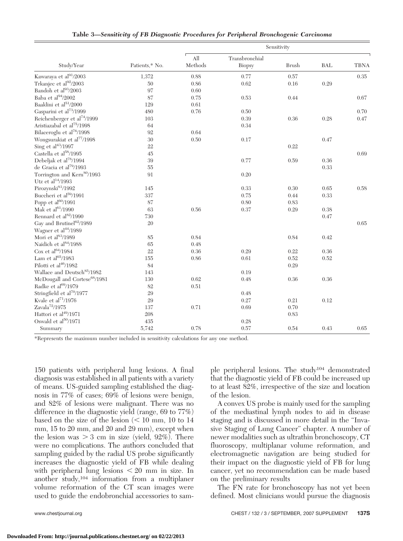| Table 3-Sensitivity of FB Diagnostic Procedures for Peripheral Bronchogenic Carcinoma |  |  |
|---------------------------------------------------------------------------------------|--|--|
|                                                                                       |  |  |

|                                           |                |         |                | Sensitivity  |            |             |
|-------------------------------------------|----------------|---------|----------------|--------------|------------|-------------|
|                                           |                | All     | Transbronchial |              |            |             |
| Study/Year                                | Patients,* No. | Methods | <b>Biopsy</b>  | <b>Brush</b> | <b>BAL</b> | <b>TBNA</b> |
| Kawaraya et al <sup>91</sup> /2003        | 1,372          | 0.88    | 0.77           | 0.57         |            | 0.35        |
| Trkanjec et al <sup>92</sup> /2003        | 50             | 0.86    | 0.62           | 0.16         | 0.29       |             |
| Bandoh et al93/2003                       | 97             | 0.60    |                |              |            |             |
| Baba et al<br>$^{94}/2002$                | 87             | 0.75    | 0.53           | 0.44         |            | 0.67        |
| Baaklini et al <sup>51</sup> /2000        | 129            | 0.61    |                |              |            |             |
| Gasparini et al <sup>73</sup> /1999       | 480            | 0.76    | 0.50           |              |            | 0.70        |
| Reichenberger et al <sup>74</sup> /1999   | 103            |         | 0.39           | 0.36         | 0.28       | 0.47        |
| Aristiazabal et al <sup>75</sup> /1998    | 64             |         | 0.34           |              |            |             |
| Bilaceroglu et al <sup>76</sup> /1998     | 92             | 0.64    |                |              |            |             |
| Wongsurakiat et al <sup>77</sup> /1998    | 30             | 0.50    | 0.17           |              | 0.47       |             |
| Sing et al <sup>43</sup> /1997            | 22             |         |                | 0.22         |            |             |
| Castella et al<br>$58/1995$               | 45             |         |                |              |            | 0.69        |
| Debeljak et al <sup>78</sup> /1994        | 39             |         | 0.77           | 0.59         | 0.36       |             |
| de Gracia et al <sup>79</sup> /1993       | 55             |         |                |              | 0.33       |             |
| Torrington and Kern <sup>80</sup> /1993   | 91             |         | 0.20           |              |            |             |
| Utz et $al^{14}/1993$                     |                |         |                |              |            |             |
| Pirozynski <sup>81</sup> /1992            | 145            |         | 0.33           | 0.30         | 0.65       | 0.58        |
| Buccheri et al <sup>59</sup> /1991        | 337            |         | 0.75           | 0.44         | 0.33       |             |
| Popp et al <sup>60</sup> /1991            | 87             |         | 0.80           | 0.83         |            |             |
| Mak et al <sup>61</sup> /1990             | 63             | 0.56    | 0.37           | 0.29         | 0.38       |             |
| Rennard et al <sup>82</sup> /1990         | 730            |         |                |              | 0.47       |             |
| Gay and Brutinel <sup>62</sup> /1989      | 20             |         |                |              |            | 0.65        |
| Wagner et al <sup>44</sup> /1989          |                |         |                |              |            |             |
| Mori et al <sup>83</sup> /1989            | 85             | 0.84    |                | 0.84         | 0.42       |             |
| Naidich et $al84/1988$                    | 65             | 0.48    |                |              |            |             |
| Cox et $al64/1984$                        | 22             | 0.36    | 0.29           | 0.22         | 0.36       |             |
| Lam et $al^{65}/1983$                     | 155            | 0.86    | 0.61           | 0.52         | 0.52       |             |
| Pilotti et $\rm{al}^{46}/1982$            | 84             |         |                | 0.29         |            |             |
| Wallace and Deutsch $^{85}\!/1982$        | 143            |         | 0.19           |              |            |             |
| McDougall and Cortese <sup>68</sup> /1981 | 130            | 0.62    | 0.48           | 0.36         | 0.36       |             |
| Radke et al <sup>69</sup> /1979           | 82             | 0.51    |                |              |            |             |
| Stringfield et al <sup>70</sup> /1977     | 29             |         | 0.48           |              |            |             |
| Kvale et al $^{71}/1976$                  | 29             |         | 0.27           | 0.21         | 0.12       |             |
| Zavala <sup>72</sup> /1975                | 137            | 0.71    | 0.69           | 0.70         |            |             |
| Hattori et al <sup>49</sup> /1971         | 208            |         |                | 0.83         |            |             |
| Oswald et al <sup>50</sup> /1971          | 435            |         | 0.28           |              |            |             |
| Summary                                   | 5,742          | 0.78    | 0.57           | 0.54         | 0.43       | 0.65        |

\*Represents the maximum number included in sensitivity calculations for any one method.

150 patients with peripheral lung lesions. A final diagnosis was established in all patients with a variety of means. US-guided sampling established the diagnosis in 77% of cases; 69% of lesions were benign, and 82% of lesions were malignant. There was no difference in the diagnostic yield (range, 69 to 77%) based on the size of the lesion  $(< 10$  mm, 10 to 14 mm, 15 to 20 mm, and 20 and 29 mm), except when the lesion was  $>$  3 cm in size (yield, 92%). There were no complications. The authors concluded that sampling guided by the radial US probe significantly increases the diagnostic yield of FB while dealing with peripheral lung lesions  $\leq 20$  mm in size. In another study,104 information from a multiplaner volume reformation of the CT scan images were used to guide the endobronchial accessories to sam-

ple peripheral lesions. The study104 demonstrated that the diagnostic yield of FB could be increased up to at least 82%, irrespective of the size and location of the lesion.

A convex US probe is mainly used for the sampling of the mediastinal lymph nodes to aid in disease staging and is discussed in more detail in the "Invasive Staging of Lung Cancer" chapter. A number of newer modalities such as ultrathin bronchoscopy, CT fluoroscopy, multiplanar volume reformation, and electromagnetic navigation are being studied for their impact on the diagnostic yield of FB for lung cancer, yet no recommendation can be made based on the preliminary results

The FN rate for bronchoscopy has not yet been defined. Most clinicians would pursue the diagnosis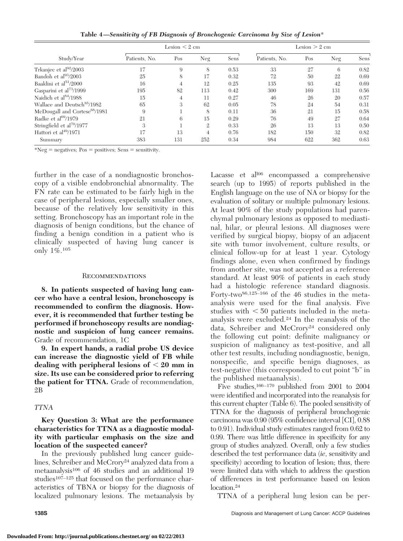**Table 4—***Sensitivity of FB Diagnosis of Bronchogenic Carcinoma by Size of Lesion*\*

|                                           |               | Lesion $\leq 2$ cm |                |      |               | Lesion $> 2$ cm |     |      |  |
|-------------------------------------------|---------------|--------------------|----------------|------|---------------|-----------------|-----|------|--|
| Study/Year                                | Patients, No. | Pos                | Neg            | Sens | Patients, No. | Pos             | Neg | Sens |  |
| Trkanjec et al <sup>92</sup> /2003        | 17            | 9                  | 8              | 0.53 | 33            | 27              | 6   | 0.82 |  |
| Bandoh et al<br>$^{93}\!\!/\!2003$        | 25            | 8                  | 17             | 0.32 | 72            | $50^{\circ}$    | 22  | 0.69 |  |
| Baaklini et al $51/2000$                  | 16            | $\overline{4}$     | 12             | 0.25 | 135           | 93              | 42  | 0.69 |  |
| Gasparini et al <sup>73</sup> /1999       | 195           | 82                 | 113            | 0.42 | 300           | 169             | 131 | 0.56 |  |
| Naidich et al <sup>84</sup> /1988         | 15            | 4                  | 11             | 0.27 | 46            | 26              | 20  | 0.57 |  |
| Wallace and Deutsch <sup>85</sup> /1982   | 65            | 3                  | 62             | 0.05 | 78            | 24              | 54  | 0.31 |  |
| McDougall and Cortese <sup>68</sup> /1981 | 9             |                    | 8              | 0.11 | 36            | 21              | 15  | 0.58 |  |
| Radke et al <sup>69</sup> /1979           | 21            | 6                  | 15             | 0.29 | 76            | 49              | 27  | 0.64 |  |
| Stringfield et al <sup>70</sup> /1977     | 3             |                    | $\overline{2}$ | 0.33 | 26            | 13              | 13  | 0.50 |  |
| Hattori et al <sup>49</sup> /1971         | 17            | 13                 | $\overline{4}$ | 0.76 | 182           | 150             | 32  | 0.82 |  |
| Summary                                   | 383           | 131                | 252            | 0.34 | 984           | 622             | 362 | 0.63 |  |

 $*Neg = negatives; Pos = positives; Sens = sensitivity.$ 

further in the case of a nondiagnostic bronchoscopy of a visible endobronchial abnormality. The FN rate can be estimated to be fairly high in the case of peripheral lesions, especially smaller ones, because of the relatively low sensitivity in this setting. Bronchoscopy has an important role in the diagnosis of benign conditions, but the chance of finding a benign condition in a patient who is clinically suspected of having lung cancer is only 1%.105

#### **RECOMMENDATIONS**

**8. In patients suspected of having lung cancer who have a central lesion, bronchoscopy is recommended to confirm the diagnosis. However, it is recommended that further testing be performed if bronchoscopy results are nondiagnostic and suspicion of lung cancer remains.** Grade of recommendation, 1C

**9. In expert hands, a radial probe US device can increase the diagnostic yield of FB while**  $\alpha$  dealing with peripheral lesions of  $<$  20 mm in **size. Its use can be considered prior to referring the patient for TTNA.** Grade of recommendation, 2B

#### *TTNA*

# **Key Question 3: What are the performance characteristics for TTNA as a diagnostic modality with particular emphasis on the size and location of the suspected cancer?**

In the previously published lung cancer guidelines, Schreiber and McCrory<sup>24</sup> analyzed data from a metaanalysis<sup>106</sup> of 46 studies and an additional 19 studies<sup>107–125</sup> that focused on the performance characteristics of TBNA or biopsy for the diagnosis of localized pulmonary lesions. The metaanalysis by

Lacasse et al<sup>lo6</sup> encompassed a comprehensive search (up to 1995) of reports published in the English language on the use of NA or biopsy for the evaluation of solitary or multiple pulmonary lesions. At least 90% of the study populations had parenchymal pulmonary lesions as opposed to mediastinal, hilar, or pleural lesions. All diagnoses were verified by surgical biopsy, biopsy of an adjacent site with tumor involvement, culture results, or clinical follow-up for at least 1 year. Cytology findings alone, even when confirmed by findings from another site, was not accepted as a reference standard. At least 90% of patients in each study had a histologic reference standard diagnosis. Forty-two $^{86,125-166}$  of the 46 studies in the metaanalysis were used for the final analysis. Five studies with  $<$  50 patients included in the metaanalysis were excluded.24 In the reanalysis of the data, Schreiber and McCrory<sup>24</sup> considered only the following cut point: definite malignancy or suspicion of malignancy as test-positive, and all other test results, including nondiagnostic, benign, nonspecific, and specific benign diagnoses, as test-negative (this corresponded to cut point "b" in the published metaanalysis).

Five studies,  $166 - 170$  published from 2001 to 2004 were identified and incorporated into the reanalysis for this current chapter (Table 6). The pooled sensitivity of TTNA for the diagnosis of peripheral bronchogenic carcinoma was 0.90 (95% confidence interval [CI], 0.88 to 0.91). Individual study estimates ranged from 0.62 to 0.99. There was little difference in specificity for any group of studies analyzed. Overall, only a few studies described the test performance data (*ie*, sensitivity and specificity) according to location of lesion; thus, there were limited data with which to address the question of differences in test performance based on lesion location.<sup>24</sup>

TTNA of a peripheral lung lesion can be per-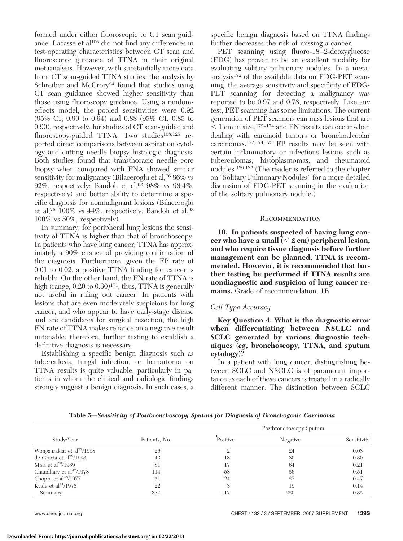formed under either fluoroscopic or CT scan guidance. Lacasse et al<sup>106</sup> did not find any differences in test-operating characteristics between CT scan and fluoroscopic guidance of TTNA in their original metaanalysis. However, with substantially more data from CT scan-guided TTNA studies, the analysis by Schreiber and McCrory<sup>24</sup> found that studies using CT scan guidance showed higher sensitivity than those using fluoroscopy guidance. Using a randomeffects model, the pooled sensitivities were 0.92 (95% CI, 0.90 to 0.94) and 0.88 (95% CI, 0.85 to 0.90), respectively, for studies of CT scan-guided and fluoroscopy-guided TTNA. Two studies<sup>108,125</sup> reported direct comparisons between aspiration cytology and cutting needle biopsy histologic diagnosis. Both studies found that transthoracic needle core biopsy when compared with FNA showed similar sensitivity for malignancy (Bilaceroglu et al,<sup>76</sup> 86% vs 92%, respectively; Bandoh et al,  $98\%$  vs  $98.4\%$ , respectively) and better ability to determine a specific diagnosis for nonmalignant lesions (Bilaceroglu et al,<sup>76</sup> 100% vs 44%, respectively; Bandoh et al,<sup>93</sup> 100% vs 50%, respectively).

In summary, for peripheral lung lesions the sensitivity of TTNA is higher than that of bronchoscopy. In patients who have lung cancer, TTNA has approximately a 90% chance of providing confirmation of the diagnosis. Furthermore, given the FP rate of 0.01 to 0.02, a positive TTNA finding for cancer is reliable. On the other hand, the FN rate of TTNA is high (range, 0.20 to 0.30)<sup>171</sup>; thus, TTNA is generally not useful in ruling out cancer. In patients with lesions that are even moderately suspicious for lung cancer, and who appear to have early-stage disease and are candidates for surgical resection, the high FN rate of TTNA makes reliance on a negative result untenable; therefore, further testing to establish a definitive diagnosis is necessary.

Establishing a specific benign diagnosis such as tuberculosis, fungal infection, or hamartoma on TTNA results is quite valuable, particularly in patients in whom the clinical and radiologic findings strongly suggest a benign diagnosis. In such cases, a specific benign diagnosis based on TTNA findings further decreases the risk of missing a cancer.

PET scanning using fluoro-18-2-deoxyglucose (FDG) has proven to be an excellent modality for evaluating solitary pulmonary nodules. In a metaanalysis172 of the available data on FDG-PET scanning, the average sensitivity and specificity of FDG-PET scanning for detecting a malignancy was reported to be 0.97 and 0.78, respectively. Like any test, PET scanning has some limitations. The current generation of PET scanners can miss lesions that are  $\leq 1$  cm in size,<sup>172–174</sup> and FN results can occur when dealing with carcinoid tumors or bronchoalveolar carcinomas.172,174,175 FP results may be seen with certain inflammatory or infectious lesions such as tuberculomas, histoplasmomas, and rheumatoid nodules.180,182 (The reader is referred to the chapter on "Solitary Pulmonary Nodules" for a more detailed discussion of FDG-PET scanning in the evaluation of the solitary pulmonary nodule.)

#### **RECOMMENDATION**

**10. In patients suspected of having lung cancer who have a small (**- **2 cm) peripheral lesion, and who require tissue diagnosis before further management can be planned, TTNA is recommended. However, it is recommended that further testing be performed if TTNA results are nondiagnostic and suspicion of lung cancer remains.** Grade of recommendation, 1B

## *Cell Type Accuracy*

**Key Question 4: What is the diagnostic error when differentiating between NSCLC and SCLC generated by various diagnostic techniques (***eg***, bronchoscopy, TTNA, and sputum cytology)?**

In a patient with lung cancer, distinguishing between SCLC and NSCLC is of paramount importance as each of these cancers is treated in a radically different manner. The distinction between SCLC

**Table 5—***Sensitivity of Postbronchoscopy Sputum for Diagnosis of Bronchogenic Carcinoma*

|                                              |               |          | Postbronchoscopy Sputum |             |
|----------------------------------------------|---------------|----------|-------------------------|-------------|
| Study/Year                                   | Patients, No. | Positive | Negative                | Sensitivity |
| Wongsurakiat et al <sup>77</sup> /1998       | 26            |          | 24                      | 0.08        |
| de Gracia et al $^{79}/1993$                 | 43            | 13       | 30                      | 0.30        |
| Mori et al $^{83}/1989$                      | 81            |          | 64                      | 0.21        |
| Chaudhary et al <sup>47</sup> /1978          | 114           | 58       | 56                      | 0.51        |
| Chopra et al <sup>48</sup> /1977             | 51            | 24       | 27                      | 0.47        |
| Kyale et al <sup><math>71</math></sup> /1976 | 22            |          | 19                      | 0.14        |
| Summary                                      | 337           | 117      | 220                     | 0.35        |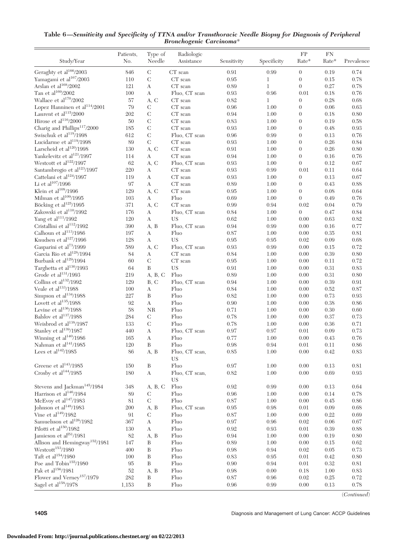**Table 6—***Sensitivity and Specificity of TTNA and/or Transthoracic Needle Biopsy for Diagnosis of Peripheral Bronchogenic Carcinoma*\*

| Study/Year                                                               | Patients.<br>No. | Type of<br>Needle | Radiologic<br>Assistance    | Sensitivity  | Specificity  | FP<br>Rate*                        | FN<br>Rate*  | Prevalence   |
|--------------------------------------------------------------------------|------------------|-------------------|-----------------------------|--------------|--------------|------------------------------------|--------------|--------------|
| Geraghty et al <sup>166</sup> /2003                                      | 846              | $\mathcal{C}$     | CT scan                     | 0.91         | 0.99         | $\overline{0}$                     | 0.19         | 0.74         |
| Yamagami et al <sup>167</sup> /2003                                      | 110              | $\mathcal C$      | CT scan                     | 0.95         | $\mathbf 1$  | $\boldsymbol{0}$                   | 0.15         | 0.78         |
| Arslan et al <sup>168</sup> /2002                                        | 121              | A                 | CT scan                     | 0.89         | $\mathbf{1}$ | $\boldsymbol{0}$                   | 0.27         | 0.78         |
| Tan et al $169/2002$                                                     | 100              | A                 | Fluo, CT scan               | 0.93         | 0.96         | 0.01                               | 0.18         | 0.76         |
| Wallace et al <sup>170</sup> /2002                                       | 57               | A, C              | CT scan                     | 0.82         | $\mathbf{1}$ | $\boldsymbol{0}$                   | 0.28         | 0.68         |
| Lopez Hanninen et al <sup>114</sup> /2001                                | 79               | $\mathcal{C}$     | CT scan                     | 0.96         | 1.00         | $\overline{0}$                     | 0.06         | 0.63         |
| Laurent et al $115/2000$                                                 | 202              | $\mathcal{C}$     | CT scan                     | 0.94         | 1.00         | $\boldsymbol{0}$                   | 0.18         | 0.80         |
| Hirose et al <sup>116</sup> /2000                                        | 50               | $\mathcal C$      | CT scan                     | 0.83         | 1.00         | $\boldsymbol{0}$                   | 0.19         | 0.58         |
| Charig and Phillips <sup>117</sup> /2000                                 | 185              | $\mathcal{C}$     | CT scan                     | 0.93         | 1.00         | $\overline{0}$                     | 0.48         | 0.93         |
| Swischuk et al <sup>118</sup> /1998                                      | 612              | $\mathcal{C}$     | Fluo, CT scan               | 0.96         | 0.99         | $\boldsymbol{0}$                   | 0.13         | 0.76         |
| Lucidarme et al <sup>119</sup> /1998<br>Larscheid et al $120/1998$       | 89               | $\mathcal C$      | CT scan                     | 0.93         | 1.00         | $\boldsymbol{0}$                   | 0.26         | 0.84         |
| Yankelevitz et al <sup>121</sup> /1997                                   | 130              | A, C              | CT scan                     | 0.91         | 1.00         | $\overline{0}$<br>$\boldsymbol{0}$ | 0.26         | 0.80         |
| Westcott et al <sup>122</sup> /1997                                      | 114<br>62        | A<br>A, C         | CT scan<br>Fluo, CT scan    | 0.94<br>0.93 | 1.00<br>1.00 | $\boldsymbol{0}$                   | 0.16<br>0.12 | 0.76<br>0.67 |
| Santambrogio et al <sup>123</sup> /1997                                  | 220              | A                 | CT scan                     | 0.93         | 0.99         | 0.01                               | 0.11         | 0.64         |
| Cattelani et al <sup>124</sup> /1997                                     | 119              | $\mathbf A$       | CT scan                     | 0.93         | 1.00         | $\boldsymbol{0}$                   | 0.13         | 0.67         |
| Li et al $107/1996$                                                      | 97               | A                 | CT scan                     | 0.89         | 1.00         | $\boldsymbol{0}$                   | 0.43         | 0.88         |
| Klein et al $108/1996$                                                   | 129              | A, C              | CT scan                     | 0.95         | 1.00         | $\overline{0}$                     | 0.08         | 0.64         |
| Milman et al <sup>109</sup> /1995                                        | 103              | A                 | Fluo                        | 0.69         | 1.00         | $\boldsymbol{0}$                   | 0.49         | 0.76         |
| Böcking et al <sup>125</sup> /1995                                       | 371              | A, C              | CT scan                     | 0.99         | 0.94         | 0.02                               | 0.04         | 0.79         |
| Zakowski et al <sup>110</sup> /1992                                      | 176              | A                 | Fluo, CT scan               | 0.84         | 1.00         | $\overline{0}$                     | 0.47         | 0.84         |
| Yang et al <sup>111</sup> /1992                                          | 120              | $\mathbf A$       | US.                         | 0.62         | 1.00         | 0.00                               | 0.63         | 0.82         |
| Cristallini et al <sup>112</sup> /1992                                   | 390              | A, B              | Fluo, CT scan               | 0.94         | 0.99         | 0.00                               | 0.16         | 0.77         |
| Calhoun et al <sup>113</sup> /1986                                       | 197              | A                 | Fluo                        | 0.87         | 1.00         | 0.00                               | 0.35         | 0.81         |
| Knudsen et al <sup>127</sup> /1996                                       | 128              | A                 | US.                         | 0.95         | 0.95         | 0.02                               | 0.09         | 0.68         |
| Gasparini et al <sup>73</sup> /1999                                      | 589              | A, C              | Fluo, CT scan               | 0.93         | 0.99         | 0.00                               | 0.15         | 0.72         |
| Garcia Rio et al <sup>128</sup> /1994                                    | 84               | A                 | CT scan                     | 0.84         | 1.00         | 0.00                               | 0.39         | 0.80         |
| Burbank et al <sup>129</sup> /1994                                       | 60               | $\mathcal{C}$     | CT scan                     | 0.95         | 1.00         | 0.00                               | 0.11         | 0.72         |
| Targhetta et al <sup>130</sup> /1993                                     | 64               | $\boldsymbol{B}$  | <b>US</b>                   | 0.91         | 1.00         | 0.00                               | 0.31         | 0.83         |
| Grode et al <sup>131</sup> /1993<br>Collins et al <sup>132</sup> /1992   | 219<br>129       | A, B, C<br>B, C   | Fluo<br>Fluo, CT scan       | 0.89<br>0.94 | 1.00<br>1.00 | 0.00                               | 0.31<br>0.39 | 0.80<br>0.91 |
| Veale et al <sup>133</sup> /1988                                         | 100              | A                 | Fluo                        | 0.84         | 1.00         | 0.00<br>0.00                       | 0.52         | 0.87         |
| Simpson et al <sup>134</sup> /1988                                       | 227              | B                 | Fluo                        | 0.82         | 1.00         | 0.00                               | 0.73         | 0.93         |
| Lovett et al <sup>135</sup> /1988                                        | 92               | $\mathbf A$       | Fluo                        | 0.90         | 1.00         | 0.00                               | 0.38         | 0.86         |
| Levine et al $136/1988$                                                  | 58               | <b>NR</b>         | Fluo                        | 0.71         | 1.00         | 0.00                               | 0.30         | 0.60         |
| Balslov et al <sup>137</sup> /1988                                       | 284              | $\mathcal{C}$     | Fluo                        | 0.78         | 1.00         | 0.00                               | 0.37         | 0.73         |
| Weisbrod et al <sup>138</sup> /1987                                      | 133              | $\mathcal{C}$     | Fluo                        | 0.78         | 1.00         | 0.00                               | 0.36         | 0.71         |
| Stanley et al <sup>139</sup> /1987                                       | 440              | $\mathbf A$       | Fluo, CT scan               | 0.97         | 0.97         | 0.01                               | 0.09         | 0.73         |
| Winning et al <sup>140</sup> /1986                                       | 165              | A                 | Fluo                        | 0.77         | 1.00         | 0.00                               | 0.43         | 0.76         |
| Nahman et al <sup>141</sup> /1985                                        | 120              | B                 | Fluo                        | 0.98         | 0.94         | 0.01                               | 0.11         | 0.86         |
| Lees et al $142/1985$                                                    | 86               | A, B              | Fluo, CT scan,<br><b>US</b> | 0.85         | 1.00         | 0.00                               | 0.42         | 0.83         |
| Greene et al $143/1985$                                                  | 150              | $\, {\bf B}$      | Fluo                        | 0.97         | 1.00         | 0.00                               | 0.13         | 0.81         |
| Crosby et al <sup>144</sup> /1985                                        | 180              | $\mathbf A$       | Fluo, CT scan,<br>US.       | 0.82         | 1.00         | 0.00                               | 0.69         | 0.93         |
| Stevens and Jackman <sup>145</sup> /1984                                 | 348              | A, B, C           | Fluo                        | 0.92         | 0.99         | 0.00                               | 0.13         | 0.64         |
| Harrison et al <sup>146</sup> /1984                                      | 89               | $\mathcal{C}$     | Fluo                        | 0.96         | 1.00         | 0.00                               | 0.14         | 0.78         |
| McEvoy et al <sup>147</sup> /1983                                        | $81\,$           | $\mathbf C$       | Fluo                        | 0.87         | 1.00         | 0.00                               | 0.45         | 0.86         |
| Johnson et al <sup>148</sup> /1983                                       | 200              | A, B              | Fluo, CT scan               | 0.95         | 0.98         | 0.01                               | 0.09         | 0.68         |
| Vine et al <sup>149</sup> /1982                                          | 91               | $\mathcal{C}$     | Fluo                        | 0.87         | 1.00         | 0.00                               | 0.22         | 0.69         |
| Samuelsson et al <sup>126</sup> /1982<br>Pilotti et $\rm{al}^{150}/1982$ | 367              | A                 | Fluo                        | $0.97\,$     | 0.96         | 0.02                               | 0.06         | 0.67         |
| Jamieson et al <sup>151</sup> /1981                                      | 130<br>82        | A<br>A, B         | Fluo<br>Fluo                | 0.92<br>0.94 | 0.93<br>1.00 | 0.01<br>0.00                       | 0.39<br>0.19 | 0.88<br>0.80 |
| Allison and Hemingway <sup>152</sup> /1981                               | 147              | $\, {\bf B}$      | Fluo                        | 0.89         | 1.00         | 0.00                               | 0.15         | 0.62         |
| $\text{Westcott}^{\text{153}}\text{/1980}$                               | 400              | $\, {\bf B}$      | Fluo                        | 0.98         | 0.94         | 0.02                               | 0.05         | 0.73         |
| Taft et al $154/1980$                                                    | 100              | $\, {\bf B}$      | Fluo                        | 0.83         | 0.95         | 0.01                               | 0.42         | 0.80         |
| Poe and Tobin <sup>155</sup> /1980                                       | 95               | $\, {\bf B}$      | Fluo                        | $0.90\,$     | 0.94         | $0.01\,$                           | 0.32         | 0.81         |
| Pak et al $^{156}/1981$                                                  | 52               | A, B              | Fluo                        | 0.98         | 0.00         | 0.18                               | 1.00         | 0.83         |
| Flower and Verney <sup>157</sup> /1979                                   | 282              | $\, {\bf B}$      | Fluo                        | 0.87         | 0.96         | 0.02                               | 0.25         | 0.72         |
| Sagel et al $158/1978$                                                   | 1,153            | B                 | Fluo                        | 0.96         | 0.99         | 0.00                               | 0.13         | 0.78         |

(*Continued*)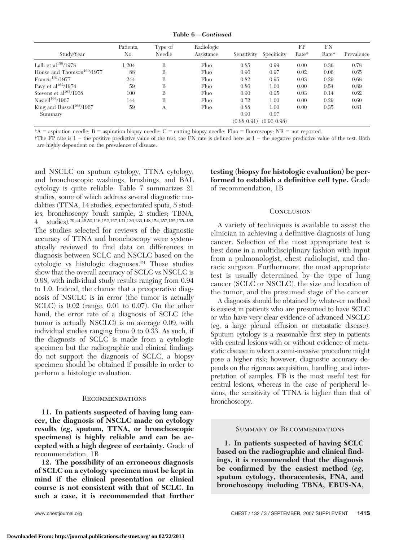**Table 6—***Continued*

| Study/Year                             | Patients.<br>No. | Type of<br>Needle | Radiologic<br>Assistance | Sensitivity    | Specificity    | FP<br>Rate* | FN<br>Rate* | Prevalence |
|----------------------------------------|------------------|-------------------|--------------------------|----------------|----------------|-------------|-------------|------------|
| Lalli et al $159/1978$                 | 1,204            | B                 | Fluo                     | 0.85           | 0.99           | 0.00        | 0.36        | 0.78       |
| House and Thomson <sup>160</sup> /1977 | 88               | B                 | Fluo                     | 0.96           | 0.97           | 0.02        | 0.06        | 0.65       |
| $Francis^{161}/1977$                   | 244              | B                 | Fluo                     | 0.82           | 0.95           | 0.03        | 0.29        | 0.68       |
| Pavy et al $162/1974$                  | 59               | B                 | Fluo                     | 0.86           | 1.00           | 0.00        | 0.54        | 0.89       |
| Stevens et $al^{163}/1968$             | 100              | B                 | Fluo                     | 0.90           | 0.95           | 0.03        | 0.14        | 0.62       |
| Nasiell $164/1967$                     | 144              | B                 | Fluo                     | 0.72           | 1.00           | 0.00        | 0.29        | 0.60       |
| King and Russell <sup>165</sup> /1967  | 59               | А                 | Fluo                     | 0.88           | $1.00\,$       | 0.00        | 0.35        | 0.81       |
| Summary                                |                  |                   |                          | 0.90           | 0.97           |             |             |            |
|                                        |                  |                   |                          | $(0.88\ 0.91)$ | $(0.96\ 0.98)$ |             |             |            |

 $*A =$  aspiration needle; B = aspiration biopsy needle; C = cutting biopsy needle; Fluo = fluoroscopy; NR = not reported.

 $\dagger$ The FP rate is  $1$  – the positive predictive value of the test; the FN rate is defined here as  $1$  – the negative predictive value of the test. Both are highly dependent on the prevalence of disease.

and NSCLC on sputum cytology, TTNA cytology, and bronchoscopic washings, brushings, and BAL cytology is quite reliable. Table 7 summarizes 21 studies, some of which address several diagnostic modalities (TTNA, 14 studies; expectorated sputa, 5 studies; bronchoscopy brush sample, 2 studies; TBNA, 4 studies).29,44,46,50,116,122,127,131,136,139,148,154,157,162,175–185 The studies selected for reviews of the diagnostic accuracy of TTNA and bronchoscopy were systematically reviewed to find data on differences in diagnosis between SCLC and NSCLC based on the cytologic vs histologic diagnoses.<sup>24</sup> These studies show that the overall accuracy of SCLC vs NSCLC is 0.98, with individual study results ranging from 0.94 to 1.0. Indeed, the chance that a preoperative diagnosis of NSCLC is in error (the tumor is actually SCLC) is 0.02 (range, 0.01 to 0.07). On the other hand, the error rate of a diagnosis of SCLC (the tumor is actually NSCLC) is on average 0.09, with individual studies ranging from 0 to 0.33. As such, if the diagnosis of SCLC is made from a cytologic specimen but the radiographic and clinical findings do not support the diagnosis of SCLC, a biopsy specimen should be obtained if possible in order to perform a histologic evaluation.

#### Recommendations

**11. In patients suspected of having lung cancer, the diagnosis of NSCLC made on cytology results (***eg***, sputum, TTNA, or bronchoscopic specimens) is highly reliable and can be accepted with a high degree of certainty.** Grade of recommendation, 1B

**12. The possibility of an erroneous diagnosis of SCLC on a cytology specimen must be kept in mind if the clinical presentation or clinical course is not consistent with that of SCLC. In such a case, it is recommended that further**

**testing (biopsy for histologic evaluation) be performed to establish a definitive cell type.** Grade of recommendation, 1B

#### **CONCLUSION**

A variety of techniques is available to assist the clinician in achieving a definitive diagnosis of lung cancer. Selection of the most appropriate test is best done in a multidisciplinary fashion with input from a pulmonologist, chest radiologist, and thoracic surgeon. Furthermore, the most appropriate test is usually determined by the type of lung cancer (SCLC or NSCLC), the size and location of the tumor, and the presumed stage of the cancer.

A diagnosis should be obtained by whatever method is easiest in patients who are presumed to have SCLC or who have very clear evidence of advanced NSCLC (*eg*, a large pleural effusion or metastatic disease). Sputum cytology is a reasonable first step in patients with central lesions with or without evidence of metastatic disease in whom a semi-invasive procedure might pose a higher risk; however, diagnostic accuracy depends on the rigorous acquisition, handling, and interpretation of samples. FB is the most useful test for central lesions, whereas in the case of peripheral lesions, the sensitivity of TTNA is higher than that of bronchoscopy.

#### Summary of Recommendations

**1. In patients suspected of having SCLC based on the radiographic and clinical findings, it is recommended that the diagnosis be confirmed by the easiest method (***eg***, sputum cytology, thoracentesis, FNA, and bronchoscopy including TBNA, EBUS-NA,**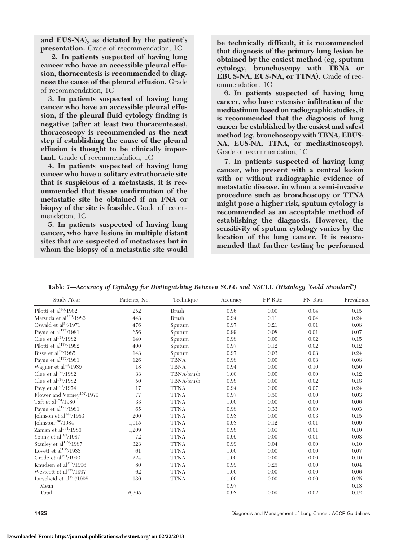**and EUS-NA), as dictated by the patient's presentation.** Grade of recommendation, 1C

**2. In patients suspected of having lung cancer who have an accessible pleural effusion, thoracentesis is recommended to diagnose the cause of the pleural effusion.** Grade of recommendation, 1C

**3. In patients suspected of having lung cancer who have an accessible pleural effusion, if the pleural fluid cytology finding is negative (after at least two thoracenteses), thoracoscopy is recommended as the next step if establishing the cause of the pleural effusion is thought to be clinically important.** Grade of recommendation, 1C

**4. In patients suspected of having lung cancer who have a solitary extrathoracic site that is suspicious of a metastasis, it is recommended that tissue confirmation of the metastatic site be obtained if an FNA or biopsy of the site is feasible.** Grade of recommendation, 1C

**5. In patients suspected of having lung cancer, who have lesions in multiple distant sites that are suspected of metastases but in whom the biopsy of a metastatic site would**

**be technically difficult, it is recommended that diagnosis of the primary lung lesion be obtained by the easiest method (eg, sputum cytology, bronchoscopy with TBNA or EBUS-NA, EUS-NA, or TTNA).** Grade of recommendation, 1C

**6. In patients suspected of having lung cancer, who have extensive infiltration of the mediastinum based on radiographic studies, it is recommended that the diagnosis of lung cancer be established by the easiest and safest method (***eg***, bronchoscopy with TBNA, EBUS-NA, EUS-NA, TTNA, or mediastinoscopy).** Grade of recommendation, 1C

**7. In patients suspected of having lung cancer, who present with a central lesion with or without radiographic evidence of metastatic disease, in whom a semi-invasive procedure such as bronchoscopy or TTNA might pose a higher risk, sputum cytology is recommended as an acceptable method of establishing the diagnosis. However, the sensitivity of sputum cytology varies by the location of the lung cancer. It is recommended that further testing be performed**

| Study /Year                            | Patients, No. | Technique    | Accuracy | FP Rate | FN Rate | Prevalence |
|----------------------------------------|---------------|--------------|----------|---------|---------|------------|
| Pilotti et al <sup>46</sup> /1982      | 252           | <b>Brush</b> | 0.96     | 0.00    | 0.04    | 0.15       |
| Matsuda et al $176/1986$               | 443           | <b>Brush</b> | 0.94     | 0.11    | 0.04    | 0.24       |
| Oswald et $\rm{al}^{50}\!/\!1971$      | 476           | Sputum       | 0.97     | 0.21    | 0.01    | 0.08       |
| Payne et al <sup>177</sup> /1981       | 656           | Sputum       | 0.99     | 0.08    | 0.01    | 0.07       |
| Clee et al $178/1982$                  | 140           | Sputum       | 0.98     | 0.00    | 0.02    | 0.15       |
| Pilotti et al <sup>179</sup> /1982     | 400           | Sputum       | 0.97     | 0.12    | 0.02    | 0.12       |
| Risse et al <sup>29</sup> /1985        | 143           | Sputum       | 0.97     | 0.03    | 0.03    | 0.24       |
| Payne et $al^{177}/1981$               | 126           | <b>TBNA</b>  | 0.98     | 0.00    | 0.03    | 0.08       |
| Wagner et al <sup>44</sup> /1989       | 18            | <b>TBNA</b>  | 0.94     | 0.00    | 0.10    | 0.50       |
| Clee et al $178/1982$                  | 33            | TBNA/brush   | 1.00     | 0.00    | 0.00    | 0.12       |
| Clee et al $178/1982$                  | 50            | TBNA/brush   | 0.98     | 0.00    | 0.02    | 0.18       |
| Pavy et al $162/1974$                  | 17            | <b>TTNA</b>  | 0.94     | 0.00    | 0.07    | 0.24       |
| Flower and Verney <sup>157</sup> /1979 | 77            | <b>TTNA</b>  | 0.97     | 0.50    | 0.00    | 0.03       |
| Taft et al $154/1980$                  | 33            | <b>TTNA</b>  | 1.00     | 0.00    | 0.00    | 0.06       |
| Payne et $al^{177}/1981$               | 65            | <b>TTNA</b>  | 0.98     | 0.33    | 0.00    | 0.03       |
| Johnson et al <sup>148</sup> /1983     | 200           | <b>TTNA</b>  | 0.98     | 0.00    | 0.03    | 0.15       |
| ${\rm Johnston^{180}/1984}$            | 1,015         | <b>TTNA</b>  | 0.98     | 0.12    | 0.01    | 0.09       |
| Zaman et al <sup>181</sup> /1986       | 1,209         | <b>TTNA</b>  | 0.98     | 0.09    | 0.01    | 0.10       |
| Young et $\rm al^{182}/1987$           | 72            | <b>TTNA</b>  | 0.99     | 0.00    | 0.01    | 0.03       |
| Stanley et al <sup>139</sup> /1987     | 323           | <b>TTNA</b>  | 0.99     | 0.04    | 0.00    | 0.10       |
| Lovett et $\rm al^{135}/1988$          | 61            | <b>TTNA</b>  | 1.00     | 0.00    | 0.00    | 0.07       |
| Grode et al <sup>131</sup> /1993       | 224           | <b>TTNA</b>  | $1.00\,$ | 0.00    | 0.00    | 0.10       |
| Knudsen et al <sup>127</sup> /1996     | 80            | <b>TTNA</b>  | 0.99     | 0.25    | 0.00    | 0.04       |
| Westcott et al $122/1997$              | 62            | <b>TTNA</b>  | 1.00     | 0.00    | 0.00    | 0.06       |
| Larscheid et al $120/1998$             | 130           | <b>TTNA</b>  | 1.00     | 0.00    | 0.00    | 0.25       |
| Mean                                   |               |              | 0.97     |         |         | 0.18       |
| Total                                  | 6,305         |              | 0.98     | 0.09    | 0.02    | 0.12       |

**Table 7—***Accuracy of Cytology for Distinguishing Between SCLC and NSCLC (Histology Gold Standard)*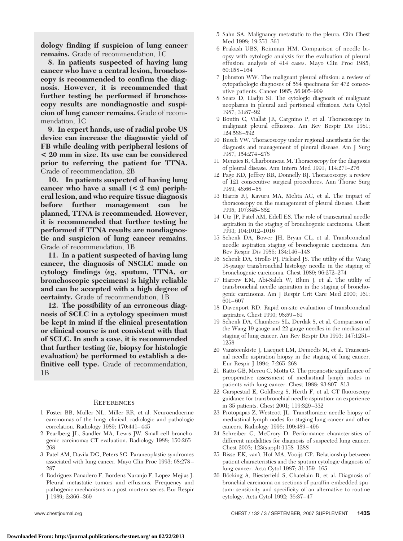**dology finding if suspicion of lung cancer remains.** Grade of recommendation, 1C

**8. In patients suspected of having lung cancer who have a central lesion, bronchoscopy is recommended to confirm the diagnosis. However, it is recommended that further testing be performed if bronchoscopy results are nondiagnostic and suspicion of lung cancer remains.** Grade of recommendation, 1C

**9. In expert hands, use of radial probe US device can increase the diagnostic yield of FB while dealing with peripheral lesions of < 20 mm in size. Its use can be considered prior to referring the patient for TTNA.** Grade of recommendation, 2B

**10. In patients suspected of having lung cancer who have a small (< 2 cm) peripheral lesion, and who require tissue diagnosis before further management can be planned, TTNA is recommended. However, it is recommended that further testing be performed if TTNA results are nondiagnostic and suspicion of lung cancer remains**. Grade of recommendation, 1B

**11. In a patient suspected of having lung cancer, the diagnosis of NSCLC made on cytology findings (***eg***, sputum, TTNA, or bronchoscopic specimens) is highly reliable and can be accepted with a high degree of certainty.** Grade of recommendation, 1B

**12. The possibility of an erroneous diagnosis of SCLC in a cytology specimen must be kept in mind if the clinical presentation or clinical course is not consistent with that of SCLC. In such a case, it is recommended that further testing (***ie***, biopsy for histologic evaluation) be performed to establish a definitive cell type.** Grade of recommendation, 1B

#### **REFERENCES**

- 1 Foster BB, Muller NL, Miller RR, et al. Neuroendocrine carcinomas of the lung: clinical, radiologic and pathologic correlation. Radiology 1989; 170:441– 445
- 2 Pearlberg JL, Sandler MA, Lewis JW. Small-cell bronchogenic carcinoma: CT evaluation. Radiology 1988; 150:265– 268
- 3 Patel AM, Davila DG, Peters SG. Paraneoplastic syndromes associated with lung cancer. Mayo Clin Proc 1993; 68:278 – 287
- 4 Rodriguez-Panadero F, Bordens Naranjo F, Lopez-Mejias J. Pleural metastatic tumors and effusions. Frequency and pathogenic mechanisms in a post-mortem series. Eur Respir J 1989; 2:366 –369

- 5 Sahn SA. Malignancy metastatic to the pleura. Clin Chest Med 1998; 19:351–361
- 6 Prakash UBS, Reinman HM. Comparison of needle biopsy with cytologic analysis for the evaluation of pleural effusion: analysis of 414 cases. Mayo Clin Proc 1985; 60:158 –164
- 7 Johnston WW. The malignant pleural effusion: a review of cytopathologic diagnoses of 584 specimens for 472 consecutive patients. Cancer 1985; 56:905–909
- 8 Sears D, Hadju SI. The cytologic diagnosis of malignant neoplasms in pleural and peritoneal effusions. Acta Cytol 1987; 31:87–92
- 9 Boutin C, Viallat JR, Cargnino P, et al. Thoracoscopy in malignant pleural effusions. Am Rev Respir Dis 1981; 124:588 –592
- 10 Rusch VW. Thoracoscopy under regional anesthesia for the diagnosis and management of pleural disease. Am J Surg 1987; 154:274 –278
- 11 Menzies R, Charbonneau M. Thoracoscopy for the diagnosis of pleural disease. Ann Intern Med 1991; 114:271–276
- 12 Page RD, Jeffrey RR, Donnelly RJ. Thoracoscopy: a review of 121 consecutive surgical procedures. Ann Thorac Surg 1989; 48:66 – 68
- 13 Harris RJ, Kavuru MA, Mehta AC, et al. The impact of thoracoscopy on the management of pleural disease. Chest 1995; 107:845– 852
- 14 Utz JP, Patel AM, Edell ES. The role of transcarinal needle aspiration in the staging of bronchogenic carcinoma. Chest 1993; 104:1012–1016
- 15 Schenk DA, Bower JH, Bryan CL, et al. Transbronchial needle aspiration staging of bronchogenic carcinoma. Am Rev Respir Dis 1986; 134:146 –148
- 16 Schenk DA, Strollo PJ, Pickard JS. The utility of the Wang 18-gauge transbronchial histology needle in the staging of bronchogenic carcinoma. Chest 1989; 96:272–274
- 17 Harrow EM, Abi-Saleh W, Blum J, et al. The utility of transbronchial needle aspiration in the staging of bronchogenic carcinoma. Am J Respir Crit Care Med 2000; 161: 601– 607
- 18 Davenport RD. Rapid on-site evaluation of transbronchial aspirates. Chest 1990; 98:59 – 61
- 19 Schenk DA, Chambers SL, Derdak S, et al. Comparison of the Wang 19 gauge and 22 gauge needles in the mediastinal staging of lung cancer. Am Rev Respir Dis 1993; 147:1251– 1258
- 20 Vansteenkiste J, Lacquet LM, Demedts M, et al. Transcarinal needle aspiration biopsy in the staging of lung cancer. Eur Respir J 1994; 7:265–268
- 21 Ratto GB, Mereu C, Motta G. The prognostic significance of preoperative assessment of mediastinal lymph nodes in patients with lung cancer. Chest 1988; 93:807– 813
- 22 Garspestad E, Goldberg S, Herth F, et al. CT fluoroscopy guidance for transbronchial needle aspiration: an experience in 35 patients. Chest 2001; 119:329 –332
- 23 Protopapas Z, Westcott JL. Transthoracic needle biopsy of mediastinal lymph nodes for staging lung cancer and other cancers. Radiology 1996; 199:489 – 496
- 24 Schreiber G, McCrory D. Performance characteristics of different modalities for diagnosis of suspected lung cancer. Chest 2003; 123(suppl):115S–128S
- 25 Risse EK, van't Hof MA, Vooijs GP. Relationship between patient characteristics and the sputum cytologic diagnosis of lung cancer. Acta Cytol 1987; 31:159 –165
- 26 Böcking A, Biesterfeld S, Chatelain R, et al. Diagnosis of bronchial carcinoma on sections of paraffin-embedded sputum: sensitivity and specificity of an alternative to routine cytology. Acta Cytol 1992; 36:37– 47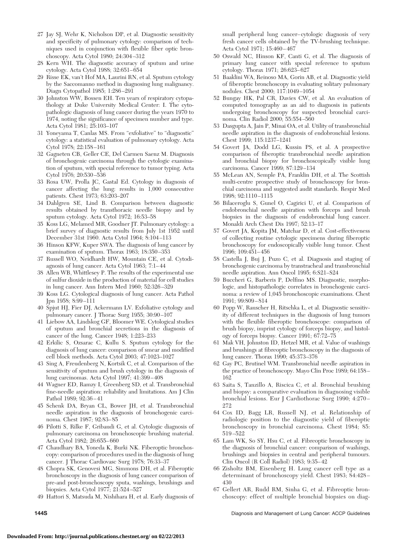- 27 Jay SJ, Wehr K, Nicholson DP, et al. Diagnostic sensitivity and specificity of pulmonary cytology: comparison of techniques used in conjunction with flexible fiber optic bronchoscopy. Acta Cytol 1980; 24:304 –312
- 28 Kern WH. The diagnostic accuracy of sputum and urine cytology. Acta Cytol 1988; 32:651– 654
- 29 Risse EK, van't Hof MA, Laurini RN, et al. Sputum cytology by the Saccomanno method in diagnosing lung malignancy. Diagn Cytopathol 1985; 1:286 –291
- 30 Johnston WW, Bossen EH. Ten years of respiratory cytopathology at Duke University Medical Center: I. The cytopathologic diagnosis of lung cancer during the years 1970 to 1974, noting the significance of specimen number and type. Acta Cytol 1981; 25:103–107
- 31 Yoneyama T, Canlas MS. From "exfoliative" to "diagnostic" cytology: a statistical evaluation of pulmonary cytology. Acta Cytol 1978; 22:158 –161
- 32 Gagneten CB, Geller CE, Del Carmen Saenz M. Diagnosis of bronchogenic carcinoma through the cytologic examination of sputum, with special reference to tumor typing. Acta Cytol 1976; 20:530 –536
- 33 Rosa UW, Prolla JC, Gastal Ed. Cytology in diagnosis of cancer affecting the lung: results in 1,000 consecutive patients. Chest 1973; 63:203–207
- 34 Dahlgren SE, Lind B. Comparison between diagnostic results obtained by transthoracic needle biopsy and by sputum cytology. Acta Cytol 1972; 16:53–58
- 35 Koss LG, Melamed MR, Goodner JT. Pulmonary cytology: a brief survey of diagnostic results from July 1st 1952 until December 31st 1960. Acta Cytol 1964; 8:104 –113
- 36 Hinson KFW, Kuper SWA. The diagnosis of lung cancer by examination of sputum. Thorax 1963; 18:350 –353
- 37 Russell WO, Neidhardt HW, Mountain CE, et al. Cytodiagnosis of lung cancer. Acta Cytol 1963; 7:1– 44
- 38 Allen WB, Whittlesey P. The results of the experimental use of sulfur dioxide in the production of material for cell studies in lung cancer. Ann Intern Med 1960; 52:326 –329
- 39 Koss LG. Cytological diagnosis of lung cancer. Acta Pathol Jpn 1958; 8:99 –111
- 40 Spjut HJ, Fier DJ, Ackermann LV. Exfoliative cytology and pulmonary cancer. J Thorac Surg 1955; 30:90 –107
- 41 Liebow AA, Lindskog GF, Bloomer WE. Cytological studies of sputum and bronchial secretions in the diagnosis of cancer of the lung. Cancer 1948; 1:223–233
- 42 Erkilic S, Ozsarac C, Kullu S. Sputum cytology for the diagnosis of lung cancer: comparison of smear and modified cell block methods. Acta Cytol 2003; 47:1023–1027
- 43 Sing A, Freudenberg N, Kortsik C, et al. Comparison of the sensitivity of sputum and brush cytology in the diagnosis of lung carcinomas. Acta Cytol 1997; 41:399 – 408
- 44 Wagner ED, Ramzy I, Greenberg SD, et al. Transbronchial fine-needle aspiration: reliability and limitations. Am J Clin Pathol 1989; 92:36-41
- 45 Schenk DA, Bryan CL, Bower JH, et al. Transbronchial needle aspiration in the diagnosis of bronchogenic carcinoma. Chest 1987; 92:83– 85
- 46 Pilotti S, Rilke F, Gribaudi G, et al. Cytologic diagnosis of pulmonary carcinoma on bronchoscopic brushing material. Acta Cytol 1982; 26:655– 660
- 47 Chaudhary BA, Yoneda K, Burki NK. Fiberoptic bronchoscopy: comparison of procedures used in the diagnosis of lung cancer. J Thorac Cardiovasc Surg 1978; 76:33–37
- 48 Chopra SK, Genovesi MG, Simmons DH, et al. Fiberoptic bronchoscopy in the diagnosis of lung cancer comparison of pre-and post-bronchoscopy sputa, washings, brushings and biopsies. Acta Cytol 1977; 21:524 –527
- 49 Hattori S, Matsuda M, Nishihara H, et al. Early diagnosis of

small peripheral lung cancer–cytologic diagnosis of very fresh cancer cells obtained by the TV-brushing technique. Acta Cytol 1971; 15:460 – 467

- 50 Oswald NC, Hinson KF, Canti G, et al. The diagnosis of primary lung cancer with special reference to sputum cytology. Thorax 1971; 26:623– 627
- 51 Baaklini WA, Reinoso MA, Gorin AB, et al. Diagnostic yield of fiberoptic bronchoscopy in evaluating solitary pulmonary nodules. Chest 2000; 117:1049 –1054
- 52 Bungay HK, Pal CR, Davies CW, et al. An evaluation of computed tomography as an aid to diagnosis in patients undergoing bronchoscopy for suspected bronchial carcinoma. Clin Radiol 2000; 55:554 –560
- 53 Dasgupta A, Jain P, Minai OA, et al. Utility of transbronchial needle aspiration in the diagnosis of endobronchial lesions. Chest 1999; 115:1237–1241
- 54 Govert JA, Dodd LG, Kussin PS, et al. A prospective comparison of fiberoptic transbronchial needle aspiration and bronchial biopsy for bronchoscopically visible lung carcinoma. Cancer 1999; 87:129 –134
- 55 McLean AN, Semple PA, Franklin DH, et al. The Scottish multi-centre prospective study of bronchoscopy for bronchial carcinoma and suggested audit standards. Respir Med 1998; 92:1110 –1115
- 56 Bilaceroglu S, Gunel O, Cagirici U, et al. Comparison of endobronchial needle aspiration with forceps and brush biopsies in the diagnosis of endobronchial lung cancer. Monaldi Arch Chest Dis 1997; 52:13–17
- 57 Govert JA, Kopita JM, Matchar D, et al. Cost-effectiveness of collecting routine cytologic specimens during fiberoptic bronchoscopy for endoscopically visible lung tumor. Chest 1996; 109:451– 456
- 58 Castella J, Buj J, Puzo C, et al. Diagnosis and staging of bronchogenic carcinoma by transtracheal and transbronchial needle aspiration. Ann Oncol 1995; 6:S21–S24
- 59 Buccheri G, Barberis P, Delfino MS. Diagnostic, morphologic, and histopathologic correlates in bronchogenic carcinoma: a review of 1,045 bronchoscopic examinations. Chest 1991; 99:809 – 814
- 60 Popp W, Rauscher H, Ritschka L, et al. Diagnostic sensitivity of different techniques in the diagnosis of lung tumors with the flexible fiberoptic bronchoscope: comparison of brush biopsy, imprint cytology of forceps biopsy, and histology of forceps biopsy. Cancer 1991; 67:72–75
- 61 Mak VH, Johnston ID, Hetzel MR, et al. Value of washings and brushings at fibreoptic bronchoscopy in the diagnosis of lung cancer. Thorax 1990; 45:373–376
- 62 Gay PC, Brutinel WM. Transbronchial needle aspiration in the practice of bronchoscopy. Mayo Clin Proc 1989; 64:158 – 162
- 63 Saita S, Tanzillo A, Riscica C, et al. Bronchial brushing and biopsy: a comparative evaluation in diagnosing visible bronchial lesions. Eur J Cardiothorac Surg 1990; 4:270 – 272
- 64 Cox ID, Bagg LR, Russell NJ, et al. Relationship of radiologic position to the diagnostic yield of fiberoptic bronchoscopy in bronchial carcinoma. Chest 1984; 85: 519 –522
- 65 Lam WK, So SY, Hsu C, et al. Fibreoptic bronchoscopy in the diagnosis of bronchial cancer: comparison of washings, brushings and biopsies in central and peripheral tumours. Clin Oncol (R Coll Radiol) 1983; 9:35– 42
- 66 Zisholtz BM, Eisenberg H. Lung cancer cell type as a determinant of bronchoscopy yield. Chest 1983; 84:428 – 430
- 67 Gellert AR, Rudd RM, Sinha G, et al. Fibreoptic bronchoscopy: effect of multiple bronchial biopsies on diag-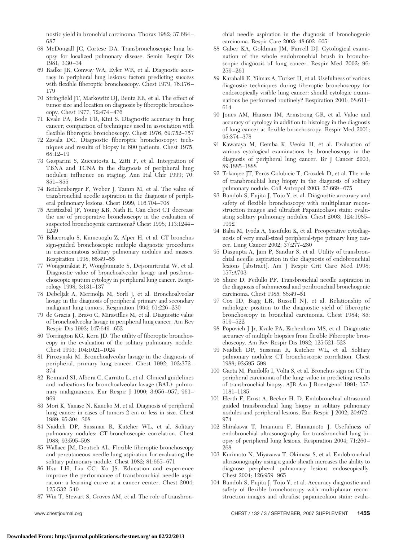nostic yield in bronchial carcinoma. Thorax 1982; 37:684 – 687

- 68 McDougall JC, Cortese DA. Transbronchoscopic lung biopsy for localized pulmonary disease. Semin Respir Dis 1981; 3:30 –34
- 69 Radke JR, Conway WA, Eyler WR, et al. Diagnostic accuracy in peripheral lung lesions: factors predicting success with flexible fiberoptic bronchoscopy. Chest 1979; 76:176 – 179
- 70 Stringfield JT, Markowitz DJ, Bentz RR, et al. The effect of tumor size and location on diagnosis by fiberoptic bronchoscopy. Chest 1977; 72:474 – 476
- 71 Kvale PA, Bode FR, Kini S. Diagnostic accuracy in lung cancer; comparison of techniques used in association with flexible fiberoptic bronchoscopy. Chest 1976; 69:752–757
- 72 Zavala DC. Diagnostic fiberoptic bronchoscopy: techniques and results of biopsy in 600 patients. Chest 1975; 68:12–19
- 73 Gasparini S, Zuccatosta L, Zitti P, et al. Integration of TBNA and TCNA in the diagnosis of peripheral lung nodules: influence on staging. Ann Ital Chir 1999; 70: 851– 855
- 74 Reichenberger F, Weber J, Tamm M, et al. The value of transbronchial needle aspiration in the diagnosis of peripheral pulmonary lesions. Chest 1999; 116:704 –708
- 75 Aristizabal JF, Young KR, Nath H. Can chest CT decrease the use of preoperative bronchoscopy in the evaluation of suspected bronchogenic carcinoma? Chest 1998; 113:1244 – 1249
- 76 Bilaceroglu S, Kumcuoglu Z, Alper H, et al. CT bronchus sign-guided bronchoscopic multiple diagnostic procedures in carcinomatous solitary pulmonary nodules and masses. Respiration 1998; 65:49 –55
- 77 Wongsurakiat P, Wongbunnate S, Dejsomritrutai W, et al. Diagnostic value of bronchoalveolar lavage and postbronchoscopic sputum cytology in peripheral lung cancer. Respirology 1998; 3:131–137
- 78 Debeljak A, Mermolja M, Sorli J, et al. Bronchoalveolar lavage in the diagnosis of peripheral primary and secondary malignant lung tumors. Respiration 1994; 61:226 –230
- 79 de Gracia J, Bravo C, Miravitlles M, et al. Diagnostic value of bronchoalveolar lavage in peripheral lung cancer. Am Rev Respir Dis 1993; 147:649 – 652
- 80 Torrington KG, Kern JD. The utility of fiberoptic bronchoscopy in the evaluation of the solitary pulmonary nodule. Chest 1993; 104:1021–1024
- 81 Pirozynski M. Bronchoalveolar lavage in the diagnosis of peripheral, primary lung cancer. Chest 1992; 102:372– 374
- 82 Rennard SI, Albera C, Carratu L, et al. Clinical guidelines and indications for bronchoalveolar lavage (BAL): pulmonary malignancies. Eur Respir J 1990; 3:956 –957, 961– 969
- 83 Mori K, Yanase N, Kaneko M, et al. Diagnosis of peripheral lung cancer in cases of tumors 2 cm or less in size. Chest 1989; 95:304 –308
- 84 Naidich DP, Sussman R, Kutcher WL, et al. Solitary pulmonary nodules: CT-bronchoscopic correlation. Chest 1988; 93:595–598
- 85 Wallace JM, Deutsch AL. Flexible fiberoptic bronchoscopy and percutaneous needle lung aspiration for evaluating the solitary pulmonary nodule. Chest 1982; 81:665– 671
- 86 Hsu LH, Liu CC, Ko JS. Education and experience improve the performance of transbronchial needle aspiration: a learning curve at a cancer center. Chest 2004; 125:532–540
- 87 Win T, Stewart S, Groves AM, et al. The role of transbron-

chial needle aspiration in the diagnosis of bronchogenic carcinoma. Respir Care 2003; 48:602– 605

- 88 Gaber KA, Goldman JM, Farrell DJ. Cytological examination of the whole endobronchial brush in bronchoscopic diagnosis of lung cancer. Respir Med 2002; 96: 259 –261
- 89 Karahalli E, Yilmaz A, Turker H, et al. Usefulness of various diagnostic techniques during fiberoptic bronchoscopy for endoscopically visible lung cancer: should cytologic examinations be performed routinely? Respiration 2001; 68:611– 614
- 90 Jones AM, Hanson IM, Armstrong GR, et al. Value and accuracy of cytology in addition to histology in the diagnosis of lung cancer at flexible bronchoscopy. Respir Med 2001; 95:374 –378
- 91 Kawaraya M, Gemba K, Ueoka H, et al. Evaluation of various cytological examinations by bronchoscopy in the diagnosis of peripheral lung cancer. Br J Cancer 2003; 89:1885–1888
- 92 Trkanjec JT, Peros-Golubicic T, Grozdek D, et al. The role of transbronchial lung biopsy in the diagnosis of solitary pulmonary nodule. Coll Antropol 2003; 27:669 – 675
- 93 Bandoh S, Fujita J, Tojo Y, et al. Diagnostic accuracy and safety of flexible bronchoscopy with multiplanar reconstruction images and ultrafast Papanicolaou stain: evaluating solitary pulmonary nodules. Chest 2003; 124:1985– 1992
- 94 Baba M, Iyoda A, Yasufuku K, et al. Preoperative cytodiagnosis of very small-sized peripheral-type primary lung cancer. Lung Cancer 2002; 37:277–280
- 95 Dasgupta A, Jain P, Sandur S, et al. Utility of transbronchial needle aspiration in the diagnosis of endobronchial lesions [abstract]. Am J Respir Crit Care Med 1998; 157:A703
- 96 Shure D, Fedullo PF. Transbronchial needle aspiration in the diagnosis of submucosal and peribronchial bronchogenic carcinoma. Chest 1985; 88:49 –51
- 97 Cox ID, Bagg LR, Russell NJ, et al. Relationship of radiologic position to the diagnostic yield of fiberoptic bronchoscopy in bronchial carcinoma. Chest 1984; 85: 519 –522
- 98 Popovich J Jr, Kvale PA, Eichenhorn MS, et al. Diagnostic accuracy of multiple biopsies from flexible Fiberoptic bronchoscopy. Am Rev Respir Dis 1982; 125:521–523
- 99 Naidich DP, Sussman R, Kutcher WL, et al. Solitary pulmonary nodules: CT bronchoscopic correlation. Chest 1988; 93:595–598
- 100 Gaeta M, Pandolfo I, Volta S, et al. Bronchus sign on CT in peripheral carcinoma of the lung: value in predicting results of transbronchial biopsy. AJR Am J Roentgenol 1991; 157: 1181–1185
- 101 Herth F, Ernst A, Becker H. D, Endobronchial ultrasound guided transbronchial lung biopsy in solitary pulmonary nodules and peripheral lesions, Eur Respir J 2002; 20:972– 974
- 102 Shirakawa T, Imamura F, Hamamoto J. Usefulness of endobronchial ultrasonography for transbronchial lung biopsy of peripheral lung lesions. Respiration 2004; 71:260 – 268
- 103 Kurimoto N, Miyazawa T, Okimasa S, et al. Endobronchial ultrasonography using a guide sheath increases the ability to diagnose peripheral pulmonary lesions endoscopically. Chest 2004; 126:959 –965
- 104 Bandoh S, Fujita J, Tojo Y, et al. Accuracy diagnostic and safety of flexible bronchoscopy with multiplanar reconstruction images and ultrafast papanicolaou stain: evalu-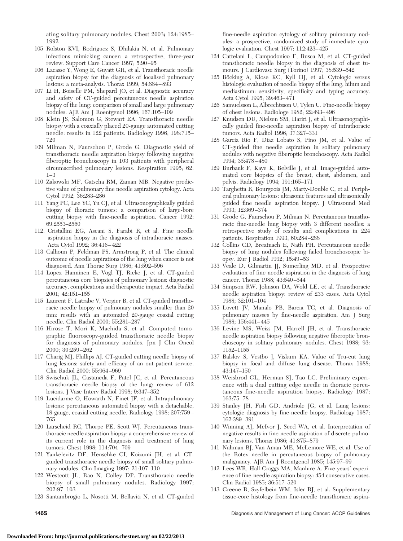ating solitary pulmonary nodules. Chest 2003**;** 124:1985– 1992

- 105 Rolston KVI, Rodriguez S, Dhilakia N, et al. Pulmonary infections mimicking cancer: a retrospective, three-year review. Support Care Cancer 1997; 5:90 –95
- 106 Lacasse Y, Wong E, Guyatt GH, et al. Transthoracic needle aspiration biopsy for the diagnosis of localised pulmonary lesions: a meta-analysis. Thorax 1999; 54:884 – 893
- 107 Li H, Boiselle PM, Shepard JO, et al. Diagnostic accuracy and safety of CT-guided percutaneous needle aspiration biopsy of the lung: comparison of small and large pulmonary nodules. AJR Am J Roentgenol 1996; 167:105–109
- 108 Klein JS, Salomon G, Stewart EA. Transthoracic needle biopsy with a coaxially placed 20-gauge automated cutting needle: results in 122 patients. Radiology 1996; 198:715– 720
- 109 Milman N, Faurschou P, Grode G. Diagnostic yield of transthoracic needle aspiration biopsy following negative fiberoptic bronchoscopy in 103 patients with peripheral circumscribed pulmonary lesions. Respiration 1995; 62: 1–3
- 110 Zakowski MF, Gatscha RM, Zaman MB. Negative predictive value of pulmonary fine needle aspiration cytology. Acta Cytol 1992; 36:283–286
- 111 Yang PC, Lee YC, Yu CJ, et al. Ultrasonographically guided biopsy of thoracic tumors: a comparison of large-bore cutting biopsy with fine-needle aspiration. Cancer 1992; 69:2553–2560
- 112. Cristallini EG, Ascani S, Farabi R, et al. Fine needle aspiration biopsy in the diagnosis of intrathoracic masses. Acta Cytol 1992; 36:416 – 422
- 113 Calhoun P, Feldman PS, Armstrong P, et al. The clinical outcome of needle aspirations of the lung when cancer is not diagnosed. Ann Thorac Surg 1986; 41:592–596
- 114 Lopez Hanninen E, Vogl TJ, Ricke J, et al. CT-guided percutaneous core biopsies of pulmonary lesions: diagnostic accuracy, complications and therapeutic impact. Acta Radiol 2001; 42:151–155
- 115 Laurent F, Latrabe V, Vergier B, et al. CT-guided transthoracic needle biopsy of pulmonary nodules smaller than 20 mm: results with an automated 20-gauge coaxial cutting needle. Clin Radiol 2000; 55:281–287
- 116 Hirose T, Mori K, Machida S, et al. Computed tomographic fluoroscopy-guided transthoracic needle biopsy for diagnosis of pulmonary nodules. Jpn J Clin Oncol 2000; 30:259 –262
- 117 Charig MJ, Phillips AJ. CT-guided cutting needle biopsy of lung lesions: safety and efficacy of an out-patient service. Clin Radiol 2000; 55:964 –969
- 118 Swischuk JL, Castaneda F, Patel JC, et al. Percutaneous transthoracic needle biopsy of the lung: review of 612 lesions. J Vasc Interv Radiol 1998; 9:347–352
- 119 Lucidarme O, Howarth N, Finet JF, et al. Intrapulmonary lesions: percutaneous automated biopsy with a detachable, 18-gauge, coaxial cutting needle. Radiology 1998; 207:759 – 765
- 120 Larscheid RC, Thorpe PE, Scott WJ. Percutaneous transthoracic needle aspiration biopsy: a comprehensive review of its current role in the diagnosis and treatment of lung tumors. Chest 1998; 114:704 –709
- 121 Yankelevitz DF, Henschke CI, Koizumi JH, et al. CTguided transthoracic needle biopsy of small solitary pulmonary nodules. Clin Imaging 1997; 21:107–110
- 122 Westcott JL, Rao N, Colley DP. Transthoracic needle biopsy of small pulmonary nodules. Radiology 1997; 202:97–103
- 123 Santambrogio L, Nosotti M, Bellaviti N, et al. CT-guided

fine-needle aspiration cytology of solitary pulmonary nodules: a prospective, randomized study of immediate cytologic evaluation. Chest 1997; 112:423– 425

- 124 Cattelani L, Campodonico F, Rusca M, et al. CT-guided transthoracic needle biopsy in the diagnosis of chest tumours. J Cardiovasc Surg (Torino) 1997; 38:539 –542
- 125 Böcking A, Klose KC, Kyll HJ, et al. Cytologic versus histologic evaluation of needle biopsy of the lung, hilum and mediastinum: sensitivity, specificity and typing accuracy. Acta Cytol 1995; 39:463– 471
- 126 Samuelsson L, Albrechtsson U, Tylen U. Fine-needle biopsy of chest lesions. Radiologe 1982; 22:493– 496
- 127 Knudsen DU, Nielsen SM, Hariri J, et al. Ultrasonographically guided fine-needle aspiration biopsy of intrathoracic tumors. Acta Radiol 1996; 37:327–331
- 128 Garcia Rio F, Diaz Lobato S, Pino JM, et al. Value of CT-guided fine needle aspiration in solitary pulmonary nodules with negative fiberoptic bronchoscopy. Acta Radiol 1994; 35:478 – 480
- 129 Burbank F, Kaye K, Belville J, et al. Image-guided automated core biopsies of the breast, chest, abdomen, and pelvis. Radiology 1994; 191:165–171
- 130 Targhetta R, Bourgeois JM, Marty-Double C, et al. Peripheral pulmonary lesions: ultrasonic features and ultrasonically guided fine needle aspiration biopsy. J Ultrasound Med 1993; 12:369 –374
- 131 Grode G, Faurschou P, Milman N. Percutaneous transthoracic fine-needle lung biopsy with 3 different needles: a retrospective study of results and complications in 224 patients. Respiration 1993; 60:284 –288
- 132 Collins CD, Breatnach E, Nath PH. Percutaneous needle biopsy of lung nodules following failed bronchoscopic biopsy. Eur J Radiol 1992; 15:49 –53
- 133 Veale D, Gilmartin JJ, Sumerling MD, et al. Prospective evaluation of fine needle aspiration in the diagnosis of lung cancer. Thorax 1988; 43:540 –544
- 134 Simpson RW, Johnson DA, Wold LE, et al. Transthoracic needle aspiration biopsy: review of 233 cases. Acta Cytol 1988; 32:101–104
- 135 Lovett JV, Manalo PB, Barcia TC, et al. Diagnosis of pulmonary masses by fine-needle aspiration. Am J Surg 1988; 156:441– 445
- 136 Levine MS, Weiss JM, Harrell JH, et al. Transthoracic needle aspiration biopsy following negative fiberoptic bronchoscopy in solitary pulmonary nodules. Chest 1988; 93: 1152–1155
- 137 Balslov S, Vestbo J, Viskum KA. Value of Tru-cut lung biopsy in focal and diffuse lung disease. Thorax 1988; 43:147–150
- 138 Weisbrod GL, Herman SJ, Tao LC. Preliminary experience with a dual cutting edge needle in thoracic percutaneous fine-needle aspiration biopsy. Radiology 1987; 163:75–78
- 139 Stanley JH, Fish GD, Andriole JG, et al. Lung lesions: cytologic diagnosis by fine-needle biopsy. Radiology 1987; 162:389 –391
- 140 Winning AJ, McIvor J, Seed WA, et al. Interpretation of negative results in fine needle aspiration of discrete pulmonary lesions. Thorax 1986; 41:875– 879
- 141 Nahman BJ, Van Aman ME, McLemore WE, et al. Use of the Rotex needle in percutaneous biopsy of pulmonary malignancy. AJR Am J Roentgenol 1985; 145:97–99
- 142 Lees WR, Hall-Craggs MA, Manhire A. Five years' experience of fine-needle aspiration biopsy: 454 consecutive cases. Clin Radiol 1985; 36:517–520
- 143 Greene R, Szyfelbein WM, Isler RJ, et al. Supplementary tissue-core histology from fine-needle transthoracic aspira-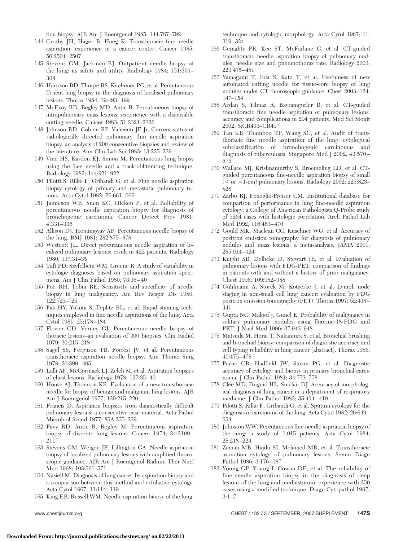tion biopsy. AJR Am J Roentgenol 1985; 144:787–792

- 144 Crosby JH, Hager B, Hoeg K. Transthoracic fine-needle aspiration: experience in a cancer center. Cancer 1985; 56:2504 –2507
- 145 Stevens GM, Jackman RJ. Outpatient needle biopsy of the lung: its safety and utility. Radiology 1984; 151:301– 304
- 146 Harrison BD, Thorpe RS, Kitchener PG, et al. Percutaneous Trucut lung biopsy in the diagnosis of localised pulmonary lesions. Thorax 1984; 39:493– 499
- 147 McEvoy RD, Begley MD, Antic R. Percutaneous biopsy of intrapulmonary mass lesions: experience with a disposable cutting needle. Cancer 1983; 51:2321–2326
- 148 Johnson RD, Gobien RP, Valicenti JF Jr. Current status of radiologically directed pulmonary thin needle aspiration biopsy: an analysis of 200 consecutive biopsies and review of the literature. Ann Clin Lab Sci 1983; 13:225–239
- 149 Vine HS, Kasdon EJ, Simon M. Percutaneous lung biopsy using the Lee needle and a track-obliterating technique. Radiology 1982; 144:921–922
- 150 Pilotti S, Rilke F, Gribaudi G, et al. Fine needle aspiration biopsy cytology of primary and metastatic pulmonary tumors. Acta Cytol 1982; 26:661– 666
- 151 Jamieson WR, Suen KC, Hicken P, et al. Reliability of percutaneous needle aspiration biopsy for diagnosis of bronchogenic carcinoma. Cancer Detect Prev 1981; 4:331–336
- 152 Allison DJ, Hemingway AP. Percutaneous needle biopsy of the lung. BMJ 1981; 282:875– 878
- 153 Westcott JL. Direct percutaneous needle aspiration of localized pulmonary lesions: result in 422 patients. Radiology 1980; 137:31–35
- 154 Taft PD, Szyfelbein WM, Greene R. A study of variability in cytologic diagnoses based on pulmonary aspiration specimens. Am J Clin Pathol 1980; 73:36 – 40
- 155 Poe RH, Tobin RE. Sensitivity and specificity of needle biopsy in lung malignancy. Am Rev Respir Dis 1980; 122:725–729
- 156 Pak HY, Yokota S, Teplitz RL, et al. Rapid staining techniques employed in fine needle aspirations of the lung. Acta Cytol 1981; 25:178 –184
- 157 Flower CD, Verney GI. Percutaneous needle biopsy of thoracic lesions–an evaluation of 300 biopsies. Clin Radiol 1979; 30:215–218
- 158 Sagel SS, Ferguson TB, Forrest JV, et al. Percutaneous transthoracic aspiration needle biopsy. Ann Thorac Surg 1978; 26:399 – 405
- 159 Lalli AF, McCormack LJ, Zelch M, et al. Aspiration biopsies of chest lesions. Radiology 1978; 127:35– 40
- 160 House AJ, Thomson KR. Evaluation of a new transthoracic needle for biopsy of benign and malignant lung lesions. AJR Am J Roentgenol 1977; 129:215–220
- 161 Francis D. Aspiration biopsies from diagnostically difficult pulmonary lesions: a consecutive case material. Acta Pathol Microbiol Scand 1977; 85A:235–239
- 162 Pavy RD, Antic R, Begley M. Percutaneous aspiration biopsy of discrete lung lesions. Cancer 1974; 34:2109 – 2117
- 163 Stevens GM, Weigen JF, Lillington GA. Needle aspiration biopsy of localized pulmonary lesions with amplified fluoroscopic guidance. AJR Am J Roentgenol Radium Ther Nucl Med 1968; 103:561–571
- 164 Nasiell M. Diagnosis of lung cancer by aspiration biopsy and a comparison between this method and exfoliative cytology. Acta Cytol 1967; 11:114 –119
- 165 King EB, Russell WM. Needle aspiration biopsy of the lung:

technique and cytologic morphology. Acta Cytol 1967; 11: 319 –324

- 166 Geraghty PR, Kee ST, McFarlane G, et al. CT-guided transthoracic needle aspiration biopsy of pulmonary nodules: needle size and pneumothorax rate. Radiology 2003; 229:475– 481
- 167 Yamagami T, Iida S, Kato T, et al. Usefulness of new automated cutting needle for tissue-core biopsy of lung nodules under CT fluoroscopic guidance. Chest 2003; 124: 147–154
- 168 Arslan S, Yilmaz A, Bayramgurler B, et al. CT-guided transthoracic fine needle aspiration of pulmonary lesions: accuracy and complications in 294 patients. Med Sci Monit 2002; 8:CR493–CR497
- 169 Tan KB, Thamboo TP, Wang SC, et al. Audit of transthoracic fine needle aspiration of the lung: cytological subclassification of bronchogenic carcinomas and diagnosis of tuberculosis. Singapore Med J 2002; 43:570 – 575
- 170 Wallace MJ, Krishnamurthy S, Broemeling LD, et al. CTguided percutaneous fine-needle aspiration biopsy of small  $(<$  or =1-cm) pulmonary lesions. Radiology 2002; 225:823– 828
- 171 Zarbo RJ, Fenoglio-Preiser CM. Institutional database for comparison of performance in lung fine-needle aspiration cytology: a College of American Pathologists Q-Probe study of 5264 cases with histologic correlation. Arch Pathol Lab Med 1992; 116:463– 470
- 172 Gould MK, Maclean CC, Kuschner WG, et al. Accuracy of positron emission tomography for diagnosis of pulmonary nodules and mass lesions: a meta-analysis. JAMA 2001; 285:914 –924
- 173 Knight SB, Delbeke D, Stewart JR, et al. Evaluation of pulmonary lesions with FDG-PET: comparison of findings in patients with and without a history of prior malignancy. Chest 1996; 109:982–988
- 174 Guhlmann A, Storck M, Kotzerke J, et al. Lymph node staging in non-small cell lung cancer: evaluation by FDG positron emission tomography (PET). Thorax 1997; 52:438 – 441
- 175 Gupta NC, Maloof J, Gunel E. Probability of malignancy in solitary pulmonary nodules using fluorine-18-FDG and PET. J Nucl Med 1996; 37:943–948
- 176 Matsuda M, Horai T, Nakamura S, et al. Bronchial brushing and bronchial biopsy: comparison of diagnostic accuracy and cell typing reliability in lung cancer [abstract]. Thorax 1986; 41:475– 478
- 177 Payne CR, Hadfield JW, Stovin PG, et al. Diagnostic accuracy of cytology and biopsy in primary bronchial carcinoma. J Clin Pathol 1981; 34:773–778
- 178 Clee MD, Duguid HL, Sinclair DJ. Accuracy of morphological diagnosis of lung cancer in a department of respiratory medicine. J Clin Pathol 1982; 35:414 – 419
- 179 Pilotti S, Rilke F, Gribaudi G, et al. Sputum cytology for the diagnosis of carcinoma of the lung. Acta Cytol 1982; 26:649 – 654
- 180 Johnston WW. Percutaneous fine needle aspiration biopsy of the lung: a study of 1,015 patients. Acta Cytol 1984; 28:218 –224
- 181 Zaman MB, Hajdu SI, Melamed MR, et al. Transthoracic aspiration cytology of pulmonary lesions. Semin Diagn Pathol 1986; 3:176 –187
- 182 Young GP, Young I, Cowan DF, et al. The reliability of fine-needle aspiration biopsy in the diagnosis of deep lesions of the lung and mediastinum: experience with 250 cases using a modified technique. Diagn Cytopathol 1987; 3:1–7